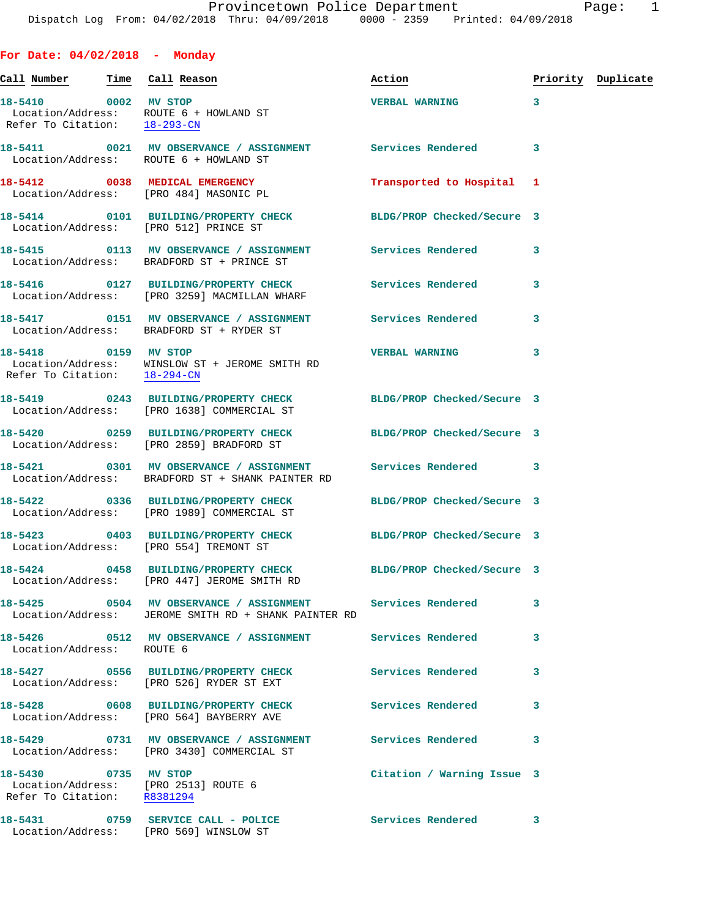**For Date: 04/02/2018 - Monday**

|                                                      |                                                                                                                   | Action                                   |   | Priority Duplicate |
|------------------------------------------------------|-------------------------------------------------------------------------------------------------------------------|------------------------------------------|---|--------------------|
| Refer To Citation: 18-293-CN                         | 18-5410 0002 MV STOP<br>Location/Address: ROUTE 6 + HOWLAND ST                                                    | $\sim$ $\sim$ 3<br><b>VERBAL WARNING</b> |   |                    |
|                                                      | 18-5411 0021 MV OBSERVANCE / ASSIGNMENT Services Rendered 3<br>Location/Address: ROUTE 6 + HOWLAND ST             |                                          |   |                    |
|                                                      | 18-5412 0038 MEDICAL EMERGENCY<br>Location/Address: [PRO 484] MASONIC PL                                          | Transported to Hospital 1                |   |                    |
|                                                      | 18-5414 0101 BUILDING/PROPERTY CHECK BLDG/PROP Checked/Secure 3<br>Location/Address: [PRO 512] PRINCE ST          |                                          |   |                    |
|                                                      | 18-5415 		 0113 MV OBSERVANCE / ASSIGNMENT Services Rendered<br>Location/Address: BRADFORD ST + PRINCE ST         |                                          | 3 |                    |
|                                                      | 18-5416  0127 BUILDING/PROPERTY CHECK Services Rendered<br>Location/Address: [PRO 3259] MACMILLAN WHARF           |                                          | 3 |                    |
|                                                      | 18-5417 0151 MV OBSERVANCE / ASSIGNMENT Services Rendered<br>Location/Address: BRADFORD ST + RYDER ST             |                                          | 3 |                    |
| 18-5418 0159 MV STOP<br>Refer To Citation: 18-294-CN | Location/Address: WINSLOW ST + JEROME SMITH RD                                                                    | <b>VERBAL WARNING</b>                    | 3 |                    |
|                                                      | 18-5419 0243 BUILDING/PROPERTY CHECK BLDG/PROP Checked/Secure 3<br>Location/Address: [PRO 1638] COMMERCIAL ST     |                                          |   |                    |
|                                                      | 18-5420 0259 BUILDING/PROPERTY CHECK BLDG/PROP Checked/Secure 3<br>Location/Address: [PRO 2859] BRADFORD ST       |                                          |   |                    |
|                                                      | 18-5421 0301 MV OBSERVANCE / ASSIGNMENT Services Rendered 3<br>Location/Address: BRADFORD ST + SHANK PAINTER RD   |                                          |   |                    |
|                                                      | 18-5422 0336 BUILDING/PROPERTY CHECK BLDG/PROP Checked/Secure 3<br>Location/Address: [PRO 1989] COMMERCIAL ST     |                                          |   |                    |
|                                                      | 18-5423 0403 BUILDING/PROPERTY CHECK BLDG/PROP Checked/Secure 3<br>Location/Address: [PRO 554] TREMONT ST         |                                          |   |                    |
|                                                      | 18-5424 0458 BUILDING/PROPERTY CHECK BLDG/PROP Checked/Secure 3<br>Location/Address: [PRO 447] JEROME SMITH RD    |                                          |   |                    |
|                                                      | 18-5425 0504 MV OBSERVANCE / ASSIGNMENT Services Rendered<br>Location/Address: JEROME SMITH RD + SHANK PAINTER RD |                                          | 3 |                    |
| Location/Address: ROUTE 6                            | 18-5426  0512 MV OBSERVANCE / ASSIGNMENT Services Rendered                                                        |                                          | 3 |                    |
|                                                      | 18-5427 0556 BUILDING/PROPERTY CHECK Services Rendered<br>Location/Address: [PRO 526] RYDER ST EXT                |                                          | 3 |                    |
|                                                      | 18-5428 0608 BUILDING/PROPERTY CHECK Services Rendered<br>Location/Address: [PRO 564] BAYBERRY AVE                |                                          | 3 |                    |
|                                                      | 18-5429 0731 MV OBSERVANCE / ASSIGNMENT Services Rendered<br>Location/Address: [PRO 3430] COMMERCIAL ST           |                                          | 3 |                    |
| 18-5430 0735 MV STOP                                 | Location/Address: [PRO 2513] ROUTE 6<br>Refer To Citation: R8381294                                               | Citation / Warning Issue 3               |   |                    |
|                                                      | 18-5431 0759 SERVICE CALL - POLICE<br>Location/Address: [PRO 569] WINSLOW ST                                      | Services Rendered                        | 3 |                    |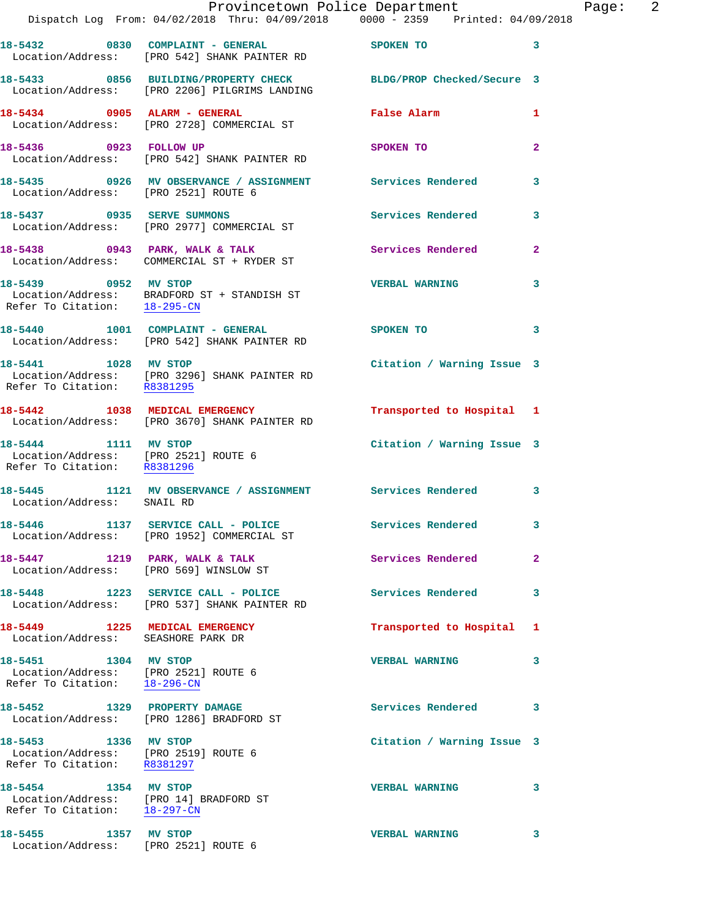|                                                                                                | Provincetown Police Department<br>Dispatch Log From: 04/02/2018 Thru: 04/09/2018 0000 - 2359 Printed: 04/09/2018 |                            |                |
|------------------------------------------------------------------------------------------------|------------------------------------------------------------------------------------------------------------------|----------------------------|----------------|
|                                                                                                | 18-5432 0830 COMPLAINT - GENERAL<br>Location/Address: [PRO 542] SHANK PAINTER RD                                 | <b>SPOKEN TO</b>           | 3              |
|                                                                                                | 18-5433 0856 BUILDING/PROPERTY CHECK BLDG/PROP Checked/Secure 3<br>Location/Address: [PRO 2206] PILGRIMS LANDING |                            |                |
|                                                                                                | 18-5434 0905 ALARM - GENERAL<br>Location/Address: [PRO 2728] COMMERCIAL ST                                       | False Alarm                | 1              |
| 18-5436 0923 FOLLOW UP                                                                         | Location/Address: [PRO 542] SHANK PAINTER RD                                                                     | SPOKEN TO                  | 2              |
| Location/Address: [PRO 2521] ROUTE 6                                                           | 18-5435 0926 MV OBSERVANCE / ASSIGNMENT Services Rendered                                                        |                            | 3              |
|                                                                                                | 18-5437 0935 SERVE SUMMONS<br>Location/Address: [PRO 2977] COMMERCIAL ST                                         | <b>Services Rendered</b>   | 3              |
|                                                                                                | 18-5438 0943 PARK, WALK & TALK<br>Location/Address: COMMERCIAL ST + RYDER ST                                     | Services Rendered          | $\overline{a}$ |
| 18-5439 0952 MV STOP                                                                           | Location/Address: BRADFORD ST + STANDISH ST<br>Refer To Citation: $\frac{18-295-CN}{\sqrt{16}-295-CN}}$          | <b>VERBAL WARNING</b>      | 3              |
|                                                                                                | 18-5440 1001 COMPLAINT - GENERAL<br>Location/Address: [PRO 542] SHANK PAINTER RD                                 | SPOKEN TO                  | 3              |
| 18-5441 1028 MV STOP<br>Refer To Citation: R8381295                                            | Location/Address: [PRO 3296] SHANK PAINTER RD                                                                    | Citation / Warning Issue 3 |                |
|                                                                                                | 18-5442 1038 MEDICAL EMERGENCY<br>Location/Address: [PRO 3670] SHANK PAINTER RD                                  | Transported to Hospital 1  |                |
| 18-5444 1111 MV STOP<br>Location/Address: [PRO 2521] ROUTE 6<br>Refer To Citation: R8381296    |                                                                                                                  | Citation / Warning Issue 3 |                |
| Location/Address: SNAIL RD                                                                     | 18-5445 1121 MV OBSERVANCE / ASSIGNMENT Services Rendered                                                        |                            | 3              |
|                                                                                                | 18-5446 1137 SERVICE CALL - POLICE<br>Location/Address: [PRO 1952] COMMERCIAL ST                                 | Services Rendered          | 3              |
| 18-5447 1219 PARK, WALK & TALK<br>Location/Address: [PRO 569] WINSLOW ST                       |                                                                                                                  | Services Rendered          | $\mathbf{2}$   |
|                                                                                                | 18-5448 1223 SERVICE CALL - POLICE<br>Location/Address: [PRO 537] SHANK PAINTER RD                               | Services Rendered          | 3              |
| 18-5449 1225 MEDICAL EMERGENCY<br>Location/Address: SEASHORE PARK DR                           |                                                                                                                  | Transported to Hospital    | 1              |
| 18-5451 1304 MV STOP<br>Location/Address: [PRO 2521] ROUTE 6<br>Refer To Citation: 18-296-CN   |                                                                                                                  | <b>VERBAL WARNING</b>      | 3              |
|                                                                                                | 18-5452 1329 PROPERTY DAMAGE<br>Location/Address: [PRO 1286] BRADFORD ST                                         | Services Rendered          | 3              |
| 18-5453 1336 MV STOP<br>Location/Address: [PRO 2519] ROUTE 6<br>Refer To Citation: R8381297    |                                                                                                                  | Citation / Warning Issue 3 |                |
| 18-5454 1354 MV STOP<br>Location/Address: [PRO 14] BRADFORD ST<br>Refer To Citation: 18-297-CN |                                                                                                                  | <b>VERBAL WARNING</b>      | 3              |
| 18-5455 1357 MV STOP                                                                           |                                                                                                                  | <b>VERBAL WARNING</b>      | 3              |

Location/Address: [PRO 2521] ROUTE 6

Page: 2<br>18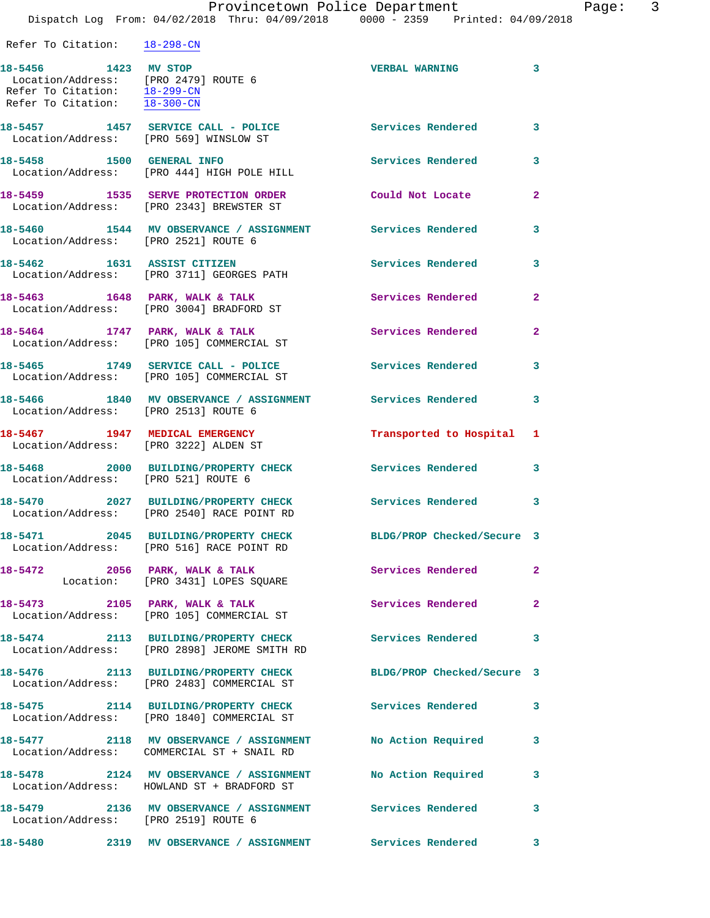Dispatch Log From: 04/02/2018 Thru: 04/09/2018 0000 - 2359 Printed: 04/09/2018 Refer To Citation: 18-298-CN

| 18-5456 1423 MV STOP<br>Location/Address: [PRO 2479] ROUTE 6<br>Refer To Citation: 18-299-CN<br>Refer To Citation: $\overline{18-300-CN}$ |                                                                                                          | <b>VERBAL WARNING</b>      | 3                       |
|-------------------------------------------------------------------------------------------------------------------------------------------|----------------------------------------------------------------------------------------------------------|----------------------------|-------------------------|
| Location/Address: [PRO 569] WINSLOW ST                                                                                                    | 18-5457 1457 SERVICE CALL - POLICE                                                                       | <b>Services Rendered</b>   | $\overline{\mathbf{3}}$ |
| 18-5458 1500 GENERAL INFO                                                                                                                 | Location/Address: [PRO 444] HIGH POLE HILL                                                               | Services Rendered          | 3                       |
|                                                                                                                                           | 18-5459 1535 SERVE PROTECTION ORDER<br>Location/Address: [PRO 2343] BREWSTER ST                          | Could Not Locate           | $\overline{2}$          |
| Location/Address: [PRO 2521] ROUTE 6                                                                                                      | 18-5460 1544 MV OBSERVANCE / ASSIGNMENT Services Rendered                                                |                            | 3                       |
|                                                                                                                                           | 18-5462 1631 ASSIST CITIZEN<br>Location/Address: [PRO 3711] GEORGES PATH                                 | Services Rendered          | 3                       |
|                                                                                                                                           | 18-5463 1648 PARK, WALK & TALK<br>Location/Address: [PRO 3004] BRADFORD ST                               | Services Rendered          | $\mathbf{2}$            |
|                                                                                                                                           | 18-5464 1747 PARK, WALK & TALK<br>Location/Address: [PRO 105] COMMERCIAL ST                              | Services Rendered          | $\mathbf{2}$            |
|                                                                                                                                           | 18-5465 1749 SERVICE CALL - POLICE<br>Location/Address: [PRO 105] COMMERCIAL ST                          | Services Rendered          | 3                       |
| Location/Address: [PRO 2513] ROUTE 6                                                                                                      | 18-5466 1840 MV OBSERVANCE / ASSIGNMENT Services Rendered                                                |                            | 3                       |
| 18-5467 1947 MEDICAL EMERGENCY<br>Location/Address: [PRO 3222] ALDEN ST                                                                   |                                                                                                          | Transported to Hospital 1  |                         |
| Location/Address: [PRO 521] ROUTE 6                                                                                                       | 18-5468 2000 BUILDING/PROPERTY CHECK                                                                     | <b>Services Rendered</b>   | 3                       |
|                                                                                                                                           | 18-5470 2027 BUILDING/PROPERTY CHECK<br>Location/Address: [PRO 2540] RACE POINT RD                       | Services Rendered          | 3                       |
|                                                                                                                                           | 18-5471 2045 BUILDING/PROPERTY CHECK<br>Location/Address: [PRO 516] RACE POINT RD                        | BLDG/PROP Checked/Secure 3 |                         |
| 18-5472 2056 PARK, WALK & TALK                                                                                                            | Location: [PRO 3431] LOPES SQUARE                                                                        | Services Rendered 2        |                         |
|                                                                                                                                           | 18-5473 2105 PARK, WALK & TALK<br>Location/Address: [PRO 105] COMMERCIAL ST                              | Services Rendered          | $\mathbf{2}$            |
|                                                                                                                                           | 18-5474 2113 BUILDING/PROPERTY CHECK Services Rendered 3<br>Location/Address: [PRO 2898] JEROME SMITH RD |                            |                         |
|                                                                                                                                           | 18-5476 2113 BUILDING/PROPERTY CHECK<br>Location/Address: [PRO 2483] COMMERCIAL ST                       | BLDG/PROP Checked/Secure 3 |                         |
|                                                                                                                                           | 18-5475 2114 BUILDING/PROPERTY CHECK<br>Location/Address: [PRO 1840] COMMERCIAL ST                       | Services Rendered          | $\overline{\mathbf{3}}$ |
|                                                                                                                                           | 18-5477 2118 MV OBSERVANCE / ASSIGNMENT<br>Location/Address: COMMERCIAL ST + SNAIL RD                    | No Action Required         | 3                       |
|                                                                                                                                           | 18-5478 2124 MV OBSERVANCE / ASSIGNMENT No Action Required<br>Location/Address: HOWLAND ST + BRADFORD ST |                            | 3                       |
| Location/Address: [PRO 2519] ROUTE 6                                                                                                      | 18-5479 2136 MV OBSERVANCE / ASSIGNMENT Services Rendered                                                |                            | 3                       |
|                                                                                                                                           | 18-5480 2319 MV OBSERVANCE / ASSIGNMENT Services Rendered 3                                              |                            |                         |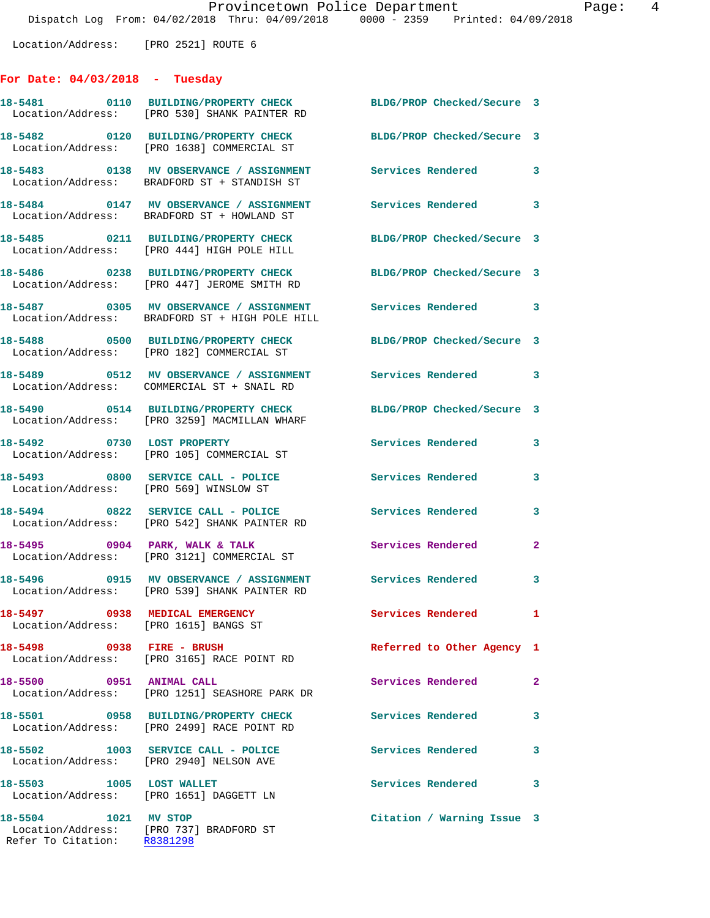Location/Address: [PRO 2521] ROUTE 6

## **For Date: 04/03/2018 - Tuesday**

|                                                     | 18-5481 0110 BUILDING/PROPERTY CHECK<br>Location/Address: [PRO 530] SHANK PAINTER RD      | BLDG/PROP Checked/Secure 3 |              |
|-----------------------------------------------------|-------------------------------------------------------------------------------------------|----------------------------|--------------|
|                                                     | Location/Address: [PRO 1638] COMMERCIAL ST                                                | BLDG/PROP Checked/Secure 3 |              |
|                                                     | 18-5483 0138 MV OBSERVANCE / ASSIGNMENT<br>Location/Address: BRADFORD ST + STANDISH ST    | <b>Services Rendered</b>   | 3            |
|                                                     | 18-5484 0147 MV OBSERVANCE / ASSIGNMENT<br>Location/Address: BRADFORD ST + HOWLAND ST     | Services Rendered 3        |              |
|                                                     | 18-5485 0211 BUILDING/PROPERTY CHECK<br>Location/Address: [PRO 444] HIGH POLE HILL        | BLDG/PROP Checked/Secure 3 |              |
|                                                     | 18-5486 0238 BUILDING/PROPERTY CHECK<br>Location/Address: [PRO 447] JEROME SMITH RD       | BLDG/PROP Checked/Secure 3 |              |
|                                                     | 18-5487 0305 MV OBSERVANCE / ASSIGNMENT<br>Location/Address: BRADFORD ST + HIGH POLE HILL | Services Rendered 3        |              |
|                                                     | 18-5488 0500 BUILDING/PROPERTY CHECK<br>Location/Address: [PRO 182] COMMERCIAL ST         | BLDG/PROP Checked/Secure 3 |              |
|                                                     | 18-5489 0512 MV OBSERVANCE / ASSIGNMENT<br>Location/Address: COMMERCIAL ST + SNAIL RD     | Services Rendered 3        |              |
|                                                     | 18-5490 0514 BUILDING/PROPERTY CHECK<br>Location/Address: [PRO 3259] MACMILLAN WHARF      | BLDG/PROP Checked/Secure 3 |              |
|                                                     | 18-5492 0730 LOST PROPERTY<br>Location/Address: [PRO 105] COMMERCIAL ST                   | Services Rendered          | 3            |
| Location/Address: [PRO 569] WINSLOW ST              | 18-5493 0800 SERVICE CALL - POLICE                                                        | Services Rendered          | 3            |
|                                                     | 18-5494 0822 SERVICE CALL - POLICE<br>Location/Address: [PRO 542] SHANK PAINTER RD        | Services Rendered          | 3            |
| $18-5495$ 0904 PARK, WALK & TALK                    | Location/Address: [PRO 3121] COMMERCIAL ST                                                | Services Rendered          | $\mathbf{2}$ |
|                                                     | 18-5496 0915 MV OBSERVANCE / ASSIGNMENT<br>Location/Address: [PRO 539] SHANK PAINTER RD   | <b>Services Rendered</b> 3 |              |
| Location/Address: [PRO 1615] BANGS ST               | 18-5497 0938 MEDICAL EMERGENCY                                                            | Services Rendered          |              |
| 18-5498 0938 FIRE - BRUSH                           | Location/Address: [PRO 3165] RACE POINT RD                                                | Referred to Other Agency 1 |              |
| 18-5500 0951 ANIMAL CALL                            | Location/Address: [PRO 1251] SEASHORE PARK DR                                             | Services Rendered          | $\mathbf{2}$ |
|                                                     | 18-5501 0958 BUILDING/PROPERTY CHECK<br>Location/Address: [PRO 2499] RACE POINT RD        | Services Rendered          | 3            |
|                                                     | 18-5502 1003 SERVICE CALL - POLICE<br>Location/Address: [PRO 2940] NELSON AVE             | Services Rendered          | 3            |
| 18-5503 1005 LOST WALLET                            | Location/Address: [PRO 1651] DAGGETT LN                                                   | Services Rendered          | 3            |
| 18-5504 1021 MV STOP<br>Refer To Citation: R8381298 | Location/Address: [PRO 737] BRADFORD ST                                                   | Citation / Warning Issue 3 |              |
|                                                     |                                                                                           |                            |              |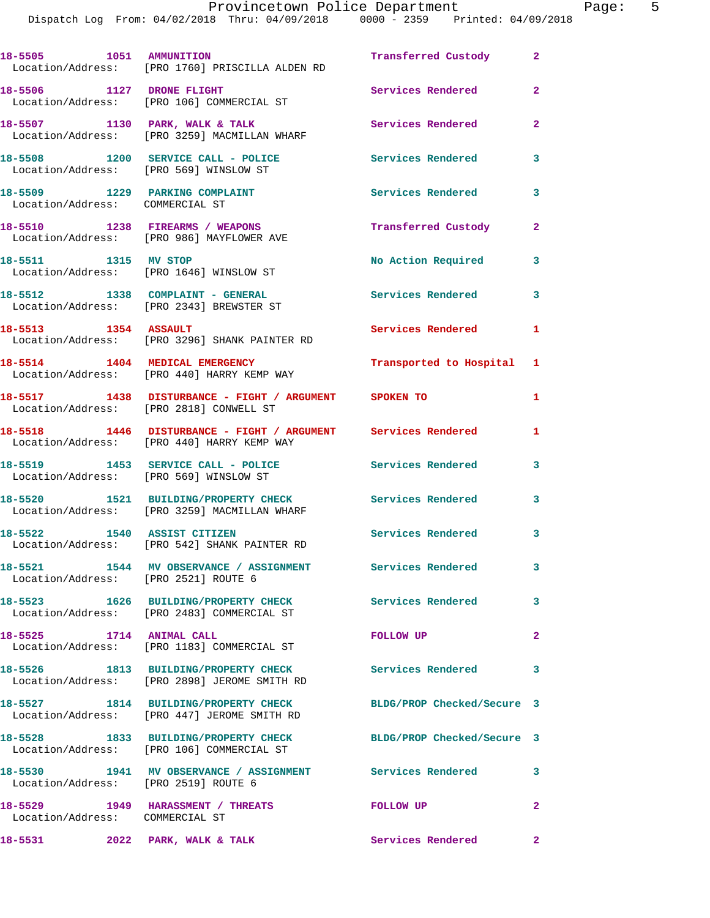Provincetown Police Department Page: 5 Dispatch Log From: 04/02/2018 Thru: 04/09/2018 0000 - 2359 Printed: 04/09/2018 **18-5505 1051 AMMUNITION Transferred Custody 2**  Location/Address: [PRO 1760] PRISCILLA ALDEN RD **18-5506 1127 DRONE FLIGHT Services Rendered 2**  Location/Address: [PRO 106] COMMERCIAL ST **18-5507 1130 PARK, WALK & TALK Services Rendered 2**  Location/Address: [PRO 3259] MACMILLAN WHARF **18-5508 1200 SERVICE CALL - POLICE Services Rendered 3**  Location/Address: [PRO 569] WINSLOW ST **18-5509 1229 PARKING COMPLAINT Services Rendered 3**  Location/Address: COMMERCIAL ST **18-5510 1238 FIREARMS / WEAPONS Transferred Custody 2**  Location/Address: [PRO 986] MAYFLOWER AVE 18-5511 1315 MV STOP 1200 No Action Required 3 Location/Address: [PRO 1646] WINSLOW ST **18-5512 1338 COMPLAINT - GENERAL Services Rendered 3**  Location/Address: [PRO 2343] BREWSTER ST **18-5513 1354 ASSAULT Services Rendered 1**  Location/Address: [PRO 3296] SHANK PAINTER RD **18-5514 1404 MEDICAL EMERGENCY Transported to Hospital 1**  Location/Address: [PRO 440] HARRY KEMP WAY **18-5517 1438 DISTURBANCE - FIGHT / ARGUMENT SPOKEN TO 1**  Location/Address: [PRO 2818] CONWELL ST **18-5518 1446 DISTURBANCE - FIGHT / ARGUMENT Services Rendered 1**  Location/Address: [PRO 440] HARRY KEMP WAY **18-5519 1453 SERVICE CALL - POLICE Services Rendered 3**  Location/Address: [PRO 569] WINSLOW ST **18-5520 1521 BUILDING/PROPERTY CHECK Services Rendered 3**  Location/Address: [PRO 3259] MACMILLAN WHARF **18-5522 1540 ASSIST CITIZEN Services Rendered 3**  Location/Address: [PRO 542] SHANK PAINTER RD **18-5521 1544 MV OBSERVANCE / ASSIGNMENT Services Rendered 3**  Location/Address: [PRO 2521] ROUTE 6 **18-5523 1626 BUILDING/PROPERTY CHECK Services Rendered 3** 

 Location/Address: [PRO 2483] COMMERCIAL ST **18-5525 1714 ANIMAL CALL FOLLOW UP 2**  Location/Address: [PRO 1183] COMMERCIAL ST **18-5526 1813 BUILDING/PROPERTY CHECK Services Rendered 3**  Location/Address: [PRO 2898] JEROME SMITH RD **18-5527 1814 BUILDING/PROPERTY CHECK BLDG/PROP Checked/Secure 3**  Location/Address: [PRO 447] JEROME SMITH RD **18-5528 1833 BUILDING/PROPERTY CHECK BLDG/PROP Checked/Secure 3**  Location/Address: [PRO 106] COMMERCIAL ST **18-5530 1941 MV OBSERVANCE / ASSIGNMENT Services Rendered 3**  Location/Address: [PRO 2519] ROUTE 6 **18-5529 1949 HARASSMENT / THREATS FOLLOW UP 2** 

Location/Address: COMMERCIAL ST

18-5531 2022 PARK, WALK & TALK **Services Rendered** 2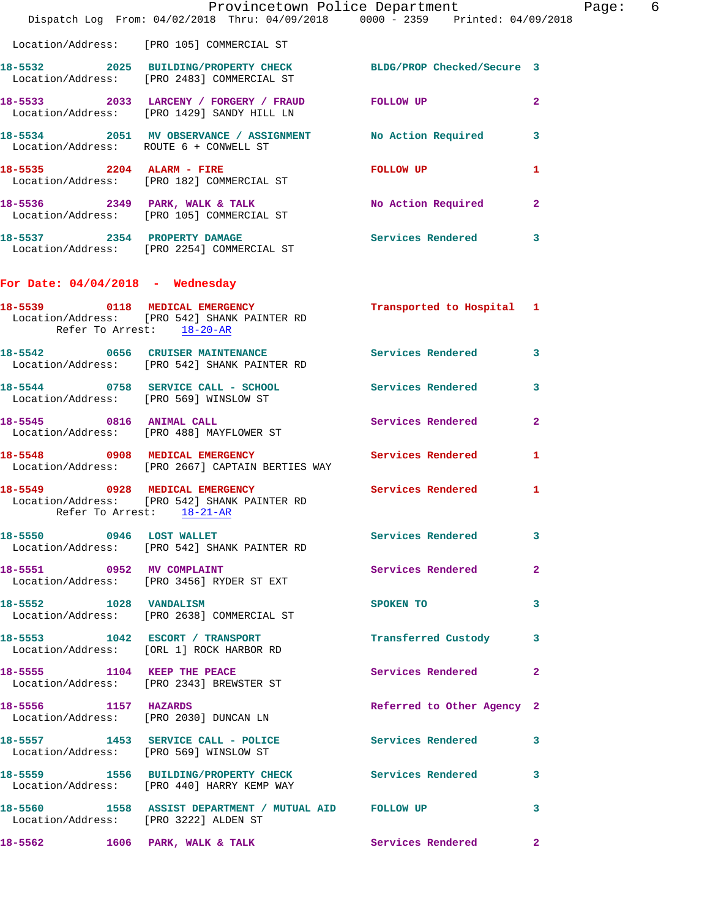|                          | Provincetown Police Department<br>Dispatch Log From: 04/02/2018 Thru: 04/09/2018 0000 - 2359 Printed: 04/09/2018 |                            |              |
|--------------------------|------------------------------------------------------------------------------------------------------------------|----------------------------|--------------|
|                          | Location/Address: [PRO 105] COMMERCIAL ST                                                                        |                            |              |
|                          | 18-5532 2025 BUILDING/PROPERTY CHECK BLDG/PROP Checked/Secure 3<br>Location/Address: [PRO 2483] COMMERCIAL ST    |                            |              |
|                          | 18-5533 2033 LARCENY / FORGERY / FRAUD FOLLOW UP<br>Location/Address: [PRO 1429] SANDY HILL LN                   |                            | 2            |
|                          | 18-5534 2051 MV OBSERVANCE / ASSIGNMENT No Action Required<br>Location/Address: ROUTE 6 + CONWELL ST             |                            | 3            |
|                          | $18-5535$ 2204 ALARM - FIRE<br>Location/Address: [PRO 182] COMMERCIAL ST                                         | <b>FOLLOW UP</b>           | 1            |
|                          | 18-5536 2349 PARK, WALK & TALK<br>Location/Address: [PRO 105] COMMERCIAL ST                                      | No Action Required         | $\mathbf{2}$ |
|                          | 18-5537 2354 PROPERTY DAMAGE<br>Location/Address: [PRO 2254] COMMERCIAL ST                                       | <b>Services Rendered</b>   | 3            |
|                          | For Date: $04/04/2018$ - Wednesday                                                                               |                            |              |
|                          | 18-5539 0118 MEDICAL EMERGENCY<br>Location/Address: [PRO 542] SHANK PAINTER RD<br>Refer To Arrest: 18-20-AR      | Transported to Hospital 1  |              |
|                          | 18-5542 0656 CRUISER MAINTENANCE<br>Location/Address: [PRO 542] SHANK PAINTER RD                                 | <b>Services Rendered</b>   | 3            |
|                          | 18-5544 0758 SERVICE CALL - SCHOOL<br>Location/Address: [PRO 569] WINSLOW ST                                     | Services Rendered          | 3            |
|                          | 18-5545 0816 ANIMAL CALL<br>Location/Address: [PRO 488] MAYFLOWER ST                                             | Services Rendered          | $\mathbf{2}$ |
|                          | 18-5548 0908 MEDICAL EMERGENCY Services Rendered<br>Location/Address: [PRO 2667] CAPTAIN BERTIES WAY             |                            | 1            |
|                          | 18-5549 0928 MEDICAL EMERGENCY<br>Location/Address: [PRO 542] SHANK PAINTER RD<br>Refer To Arrest: 18-21-AR      | <b>Services Rendered</b>   | 1            |
| 18-5550 0946 LOST WALLET | Location/Address: [PRO 542] SHANK PAINTER RD                                                                     | Services Rendered          | 3            |
|                          | 18-5551 0952 MV COMPLAINT<br>Location/Address: [PRO 3456] RYDER ST EXT                                           | Services Rendered          | 2            |
| 18-5552 1028 VANDALISM   | Location/Address: [PRO 2638] COMMERCIAL ST                                                                       | SPOKEN TO                  | 3            |
|                          | 18-5553 1042 ESCORT / TRANSPORT<br>Location/Address: [ORL 1] ROCK HARBOR RD                                      | Transferred Custody        | 3            |
|                          | 18-5555 1104 KEEP THE PEACE<br>Location/Address: [PRO 2343] BREWSTER ST                                          | Services Rendered          | $\mathbf{2}$ |
|                          | 18-5556 1157 HAZARDS<br>Location/Address: [PRO 2030] DUNCAN LN                                                   | Referred to Other Agency 2 |              |
|                          | 18-5557 1453 SERVICE CALL - POLICE<br>Location/Address: [PRO 569] WINSLOW ST                                     | Services Rendered          | 3            |
|                          | 18-5559 1556 BUILDING/PROPERTY CHECK Services Rendered<br>Location/Address: [PRO 440] HARRY KEMP WAY             |                            | 3            |
|                          | 18-5560 1558 ASSIST DEPARTMENT / MUTUAL AID FOLLOW UP<br>Location/Address: [PRO 3222] ALDEN ST                   |                            | 3            |
|                          | 18-5562 1606 PARK, WALK & TALK                                                                                   | <b>Services Rendered</b>   | $\mathbf{2}$ |

Page: 6<br>8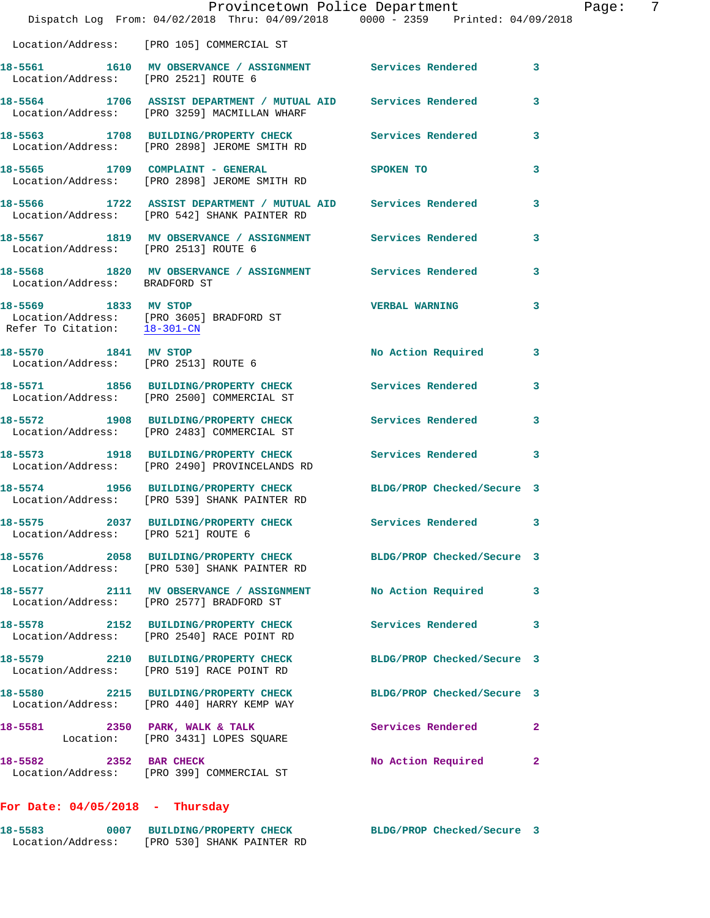|                                      |                                                                                                                 | Provincetown Police Department |              | Page: 7 |  |
|--------------------------------------|-----------------------------------------------------------------------------------------------------------------|--------------------------------|--------------|---------|--|
|                                      | Dispatch Log From: 04/02/2018 Thru: 04/09/2018 0000 - 2359 Printed: 04/09/2018                                  |                                |              |         |  |
|                                      | Location/Address: [PRO 105] COMMERCIAL ST                                                                       |                                |              |         |  |
| Location/Address: [PRO 2521] ROUTE 6 | 18-5561 1610 MV OBSERVANCE / ASSIGNMENT Services Rendered 3                                                     |                                |              |         |  |
|                                      | 18-5564 1706 ASSIST DEPARTMENT / MUTUAL AID Services Rendered<br>Location/Address: [PRO 3259] MACMILLAN WHARF   |                                | 3            |         |  |
|                                      | 18-5563 1708 BUILDING/PROPERTY CHECK Services Rendered 3<br>Location/Address: [PRO 2898] JEROME SMITH RD        |                                |              |         |  |
|                                      | 18-5565 1709 COMPLAINT - GENERAL SPOKEN TO<br>Location/Address: [PRO 2898] JEROME SMITH RD                      |                                | 3            |         |  |
|                                      | 18-5566 1722 ASSIST DEPARTMENT / MUTUAL AID Services Rendered 3<br>Location/Address: [PRO 542] SHANK PAINTER RD |                                |              |         |  |
|                                      | 18-5567 1819 MV OBSERVANCE / ASSIGNMENT Services Rendered 3<br>Location/Address: [PRO 2513] ROUTE 6             |                                |              |         |  |
| Location/Address: BRADFORD ST        | 18-5568 1820 MV OBSERVANCE / ASSIGNMENT Services Rendered                                                       |                                | 3            |         |  |
|                                      | 18-5569 1833 MV STOP<br>Location/Address: [PRO 3605] BRADFORD ST<br>Refer To Citation: 18-301-CN                | <b>VERBAL WARNING</b>          | 3            |         |  |
| Location/Address: [PRO 2513] ROUTE 6 | 18-5570 1841 MV STOP                                                                                            | No Action Required 3           |              |         |  |
|                                      | 18-5571 1856 BUILDING/PROPERTY CHECK Services Rendered 3<br>Location/Address: [PRO 2500] COMMERCIAL ST          |                                |              |         |  |
|                                      | 18-5572 1908 BUILDING/PROPERTY CHECK<br>Location/Address: [PRO 2483] COMMERCIAL ST                              | Services Rendered              | 3            |         |  |
|                                      | 18-5573 1918 BUILDING/PROPERTY CHECK Services Rendered 3<br>Location/Address: [PRO 2490] PROVINCELANDS RD       |                                |              |         |  |
|                                      | 18-5574 1956 BUILDING/PROPERTY CHECK BLDG/PROP Checked/Secure 3<br>Location/Address: [PRO 539] SHANK PAINTER RD |                                |              |         |  |
| Location/Address: [PRO 521] ROUTE 6  | 18-5575 2037 BUILDING/PROPERTY CHECK Services Rendered 3                                                        |                                |              |         |  |
|                                      | 18-5576 2058 BUILDING/PROPERTY CHECK BLDG/PROP Checked/Secure 3<br>Location/Address: [PRO 530] SHANK PAINTER RD |                                |              |         |  |
|                                      | 18-5577 2111 MV OBSERVANCE / ASSIGNMENT No Action Required 3<br>Location/Address: [PRO 2577] BRADFORD ST        |                                |              |         |  |
|                                      | 18-5578 2152 BUILDING/PROPERTY CHECK Services Rendered<br>Location/Address: [PRO 2540] RACE POINT RD            |                                | 3            |         |  |
|                                      | 18-5579 2210 BUILDING/PROPERTY CHECK BLDG/PROP Checked/Secure 3<br>Location/Address: [PRO 519] RACE POINT RD    |                                |              |         |  |
|                                      | 18-5580 2215 BUILDING/PROPERTY CHECK BLDG/PROP Checked/Secure 3<br>Location/Address: [PRO 440] HARRY KEMP WAY   |                                |              |         |  |
|                                      | 18-5581 2350 PARK, WALK & TALK 3 Services Rendered 2<br>Location: [PRO 3431] LOPES SQUARE                       |                                |              |         |  |
| 18-5582 2352 BAR CHECK               | Location/Address: [PRO 399] COMMERCIAL ST                                                                       | No Action Required             | $\mathbf{2}$ |         |  |
|                                      |                                                                                                                 |                                |              |         |  |

## **For Date: 04/05/2018 - Thursday**

| 18-5583           | <b>BUILDING/PROPERTY CHECK</b> |                            | BLDG/PROP Checked/Secure |  |
|-------------------|--------------------------------|----------------------------|--------------------------|--|
| Location/Address: |                                | [PRO 530] SHANK PAINTER RD |                          |  |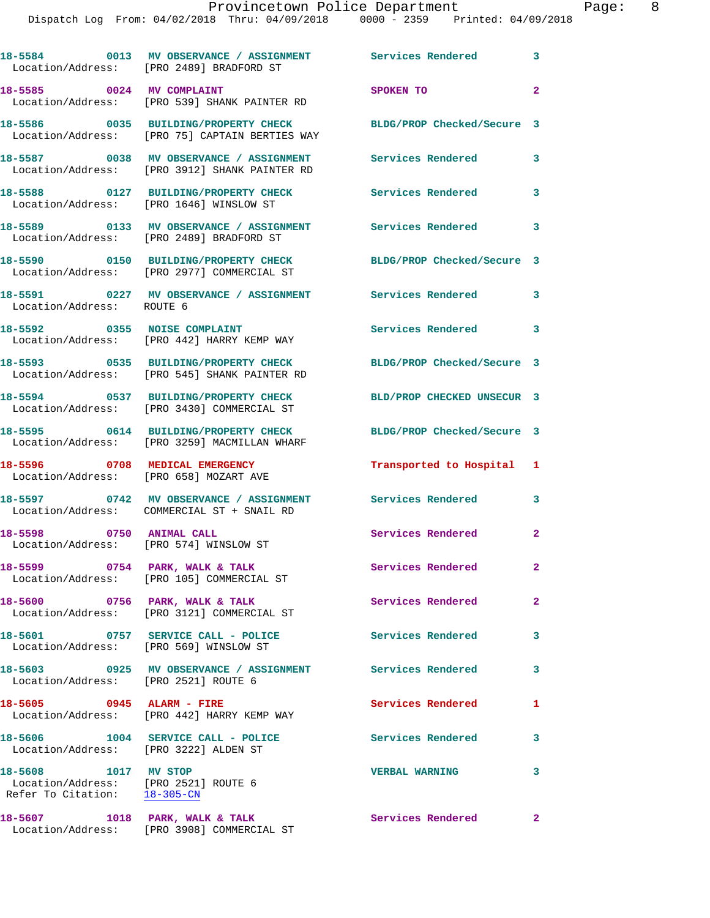Dispatch Log From: 04/02/2018 Thru: 04/09/2018 0000 - 2359 Printed: 04/09/2018

|                                                                                                           | 18-5584 0013 MV OBSERVANCE / ASSIGNMENT Services Rendered<br>Location/Address: [PRO 2489] BRADFORD ST |                            | $\overline{\mathbf{3}}$ |
|-----------------------------------------------------------------------------------------------------------|-------------------------------------------------------------------------------------------------------|----------------------------|-------------------------|
| 18-5585 0024 MV COMPLAINT                                                                                 | Location/Address: [PRO 539] SHANK PAINTER RD                                                          | SPOKEN TO                  | $\overline{2}$          |
|                                                                                                           | 18-5586 0035 BUILDING/PROPERTY CHECK<br>Location/Address: [PRO 75] CAPTAIN BERTIES WAY                | BLDG/PROP Checked/Secure 3 |                         |
|                                                                                                           | 18-5587 0038 MV OBSERVANCE / ASSIGNMENT<br>Location/Address: [PRO 3912] SHANK PAINTER RD              | <b>Services Rendered</b>   | 3                       |
| Location/Address: [PRO 1646] WINSLOW ST                                                                   | 18-5588 0127 BUILDING/PROPERTY CHECK                                                                  | <b>Services Rendered</b>   | 3                       |
|                                                                                                           | 18-5589 0133 MV OBSERVANCE / ASSIGNMENT<br>Location/Address: [PRO 2489] BRADFORD ST                   | Services Rendered          | 3                       |
|                                                                                                           | 18-5590 0150 BUILDING/PROPERTY CHECK<br>Location/Address: [PRO 2977] COMMERCIAL ST                    | BLDG/PROP Checked/Secure 3 |                         |
| Location/Address: ROUTE 6                                                                                 | 18-5591 0227 MV OBSERVANCE / ASSIGNMENT                                                               | Services Rendered          | 3                       |
|                                                                                                           | 18-5592 0355 NOISE COMPLAINT<br>Location/Address: [PRO 442] HARRY KEMP WAY                            | Services Rendered          | 3                       |
|                                                                                                           | 18-5593 0535 BUILDING/PROPERTY CHECK<br>Location/Address: [PRO 545] SHANK PAINTER RD                  | BLDG/PROP Checked/Secure 3 |                         |
|                                                                                                           | 18-5594 0537 BUILDING/PROPERTY CHECK<br>Location/Address: [PRO 3430] COMMERCIAL ST                    | BLD/PROP CHECKED UNSECUR 3 |                         |
|                                                                                                           | 18-5595 0614 BUILDING/PROPERTY CHECK<br>Location/Address: [PRO 3259] MACMILLAN WHARF                  | BLDG/PROP Checked/Secure 3 |                         |
| 18-5596 0708 MEDICAL EMERGENCY<br>Location/Address: [PRO 658] MOZART AVE                                  |                                                                                                       | Transported to Hospital 1  |                         |
|                                                                                                           | 18-5597 0742 MV OBSERVANCE / ASSIGNMENT<br>Location/Address: COMMERCIAL ST + SNAIL RD                 | Services Rendered          | 3                       |
| 18-5598 0750 ANIMAL CALL<br>Location/Address: [PRO 574] WINSLOW ST                                        |                                                                                                       | Services Rendered          | $\mathbf{2}$            |
| 18-5599 0754 PARK, WALK & TALK                                                                            | Location/Address: [PRO 105] COMMERCIAL ST                                                             | Services Rendered          | $\mathbf{2}^-$          |
|                                                                                                           | 18-5600 0756 PARK, WALK & TALK<br>Location/Address: [PRO 3121] COMMERCIAL ST                          | Services Rendered          | $\mathbf{2}$            |
| Location/Address: [PRO 569] WINSLOW ST                                                                    | 18-5601 0757 SERVICE CALL - POLICE                                                                    | Services Rendered          | 3                       |
| Location/Address: [PRO 2521] ROUTE 6                                                                      | 18-5603       0925   MV OBSERVANCE / ASSIGNMENT      Services Rendered                                |                            | 3                       |
| 18-5605 0945 ALARM - FIRE                                                                                 | Location/Address: [PRO 442] HARRY KEMP WAY                                                            | Services Rendered          | 1                       |
| Location/Address: [PRO 3222] ALDEN ST                                                                     | 18-5606 1004 SERVICE CALL - POLICE                                                                    | Services Rendered          | 3                       |
| 18-5608 1017 MV STOP<br>Location/Address: [PRO 2521] ROUTE 6<br>Refer To Citation: $\frac{18-305-CN}{\ }$ |                                                                                                       | <b>VERBAL WARNING</b>      | 3                       |
| 18-5607 1018 PARK, WALK & TALK                                                                            | Location/Address: [PRO 3908] COMMERCIAL ST                                                            | <b>Services Rendered</b>   | $\mathbf{2}$            |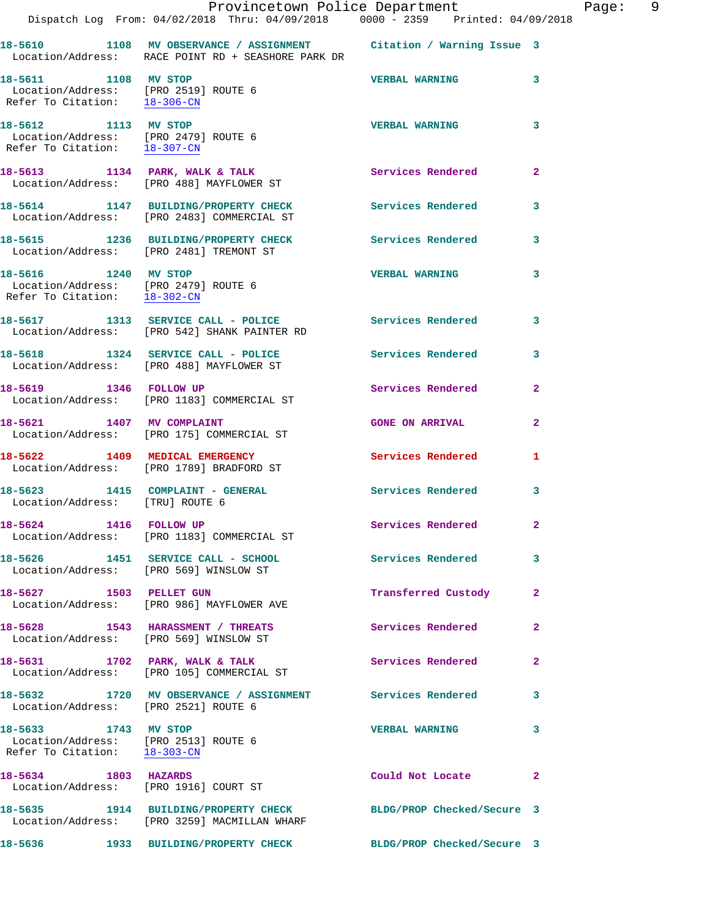|                                                                                              | Dispatch Log From: 04/02/2018 Thru: 04/09/2018 0000 - 2359 Printed: 04/09/2018                                           | Provincetown Police Department Fage: 9 |                         |  |
|----------------------------------------------------------------------------------------------|--------------------------------------------------------------------------------------------------------------------------|----------------------------------------|-------------------------|--|
|                                                                                              | 18-5610 1108 MV OBSERVANCE / ASSIGNMENT Citation / Warning Issue 3<br>Location/Address: RACE POINT RD + SEASHORE PARK DR |                                        |                         |  |
| 18-5611 1108 MV STOP<br>Location/Address: [PRO 2519] ROUTE 6<br>Refer To Citation: 18-306-CN |                                                                                                                          | VERBAL WARNING 3                       |                         |  |
| 18-5612 1113 MV STOP<br>Location/Address: [PRO 2479] ROUTE 6<br>Refer To Citation: 18-307-CN |                                                                                                                          | <b>VERBAL WARNING</b>                  | 3                       |  |
|                                                                                              | 18-5613 1134 PARK, WALK & TALK<br>Location/Address: [PRO 488] MAYFLOWER ST                                               | Services Rendered                      | $\overline{2}$          |  |
|                                                                                              | 18-5614 1147 BUILDING/PROPERTY CHECK Services Rendered 3<br>Location/Address: [PRO 2483] COMMERCIAL ST                   |                                        |                         |  |
|                                                                                              | 18-5615 1236 BUILDING/PROPERTY CHECK Services Rendered<br>Location/Address: [PRO 2481] TREMONT ST                        |                                        | $\overline{\mathbf{3}}$ |  |
| 18-5616 1240 MV STOP                                                                         | Location/Address: [PRO 2479] ROUTE 6<br>Refer To Citation: $\frac{18-302-CN}{\pi}$                                       | <b>VERBAL WARNING</b>                  | $\overline{\mathbf{3}}$ |  |
|                                                                                              | 18-5617 1313 SERVICE CALL - POLICE<br>Location/Address: [PRO 542] SHANK PAINTER RD                                       | <b>Services Rendered</b>               | $\overline{\mathbf{3}}$ |  |
|                                                                                              | 18-5618 1324 SERVICE CALL - POLICE<br>Location/Address: [PRO 488] MAYFLOWER ST                                           | Services Rendered                      | 3                       |  |
|                                                                                              | 18-5619 1346 FOLLOW UP<br>Location/Address: [PRO 1183] COMMERCIAL ST                                                     | Services Rendered                      | $\overline{2}$          |  |
|                                                                                              | 18-5621 1407 MV COMPLAINT<br>Location/Address: [PRO 175] COMMERCIAL ST                                                   | <b>GONE ON ARRIVAL</b>                 | $\overline{2}$          |  |
|                                                                                              | 18-5622 1409 MEDICAL EMERGENCY<br>Location/Address: [PRO 1789] BRADFORD ST                                               | Services Rendered                      | $\mathbf{1}$            |  |
| Location/Address: [TRU] ROUTE 6                                                              | 18-5623 1415 COMPLAINT - GENERAL Services Rendered                                                                       |                                        | 3                       |  |
| 18-5624 1416 FOLLOW UP                                                                       | Location/Address: [PRO 1183] COMMERCIAL ST                                                                               | Services Rendered                      | 2                       |  |
|                                                                                              | 18-5626 1451 SERVICE CALL - SCHOOL Services Rendered 3<br>Location/Address: [PRO 569] WINSLOW ST                         |                                        |                         |  |
|                                                                                              | 18-5627 1503 PELLET GUN<br>Location/Address: [PRO 986] MAYFLOWER AVE                                                     | Transferred Custody                    | $\mathbf{2}$            |  |
|                                                                                              | 18-5628 1543 HARASSMENT / THREATS<br>Location/Address: [PRO 569] WINSLOW ST                                              | Services Rendered                      | $\mathbf{2}$            |  |
|                                                                                              | 18-5631 1702 PARK, WALK & TALK<br>Location/Address: [PRO 105] COMMERCIAL ST                                              | Services Rendered                      | $\mathbf{2}$            |  |
| Location/Address: [PRO 2521] ROUTE 6                                                         | 18-5632 1720 MV OBSERVANCE / ASSIGNMENT Services Rendered                                                                |                                        | 3                       |  |
| 18-5633 1743 MV STOP<br>Location/Address: [PRO 2513] ROUTE 6<br>Refer To Citation: 18-303-CN |                                                                                                                          | <b>VERBAL WARNING</b>                  | 3                       |  |
| 18-5634 1803 HAZARDS                                                                         | Location/Address: [PRO 1916] COURT ST                                                                                    | Could Not Locate                       | $\mathbf{2}$            |  |
|                                                                                              | 18-5635 1914 BUILDING/PROPERTY CHECK BLDG/PROP Checked/Secure 3<br>Location/Address: [PRO 3259] MACMILLAN WHARF          |                                        |                         |  |
|                                                                                              | 18-5636       1933   BUILDING/PROPERTY CHECK         BLDG/PROP Checked/Secure 3                                          |                                        |                         |  |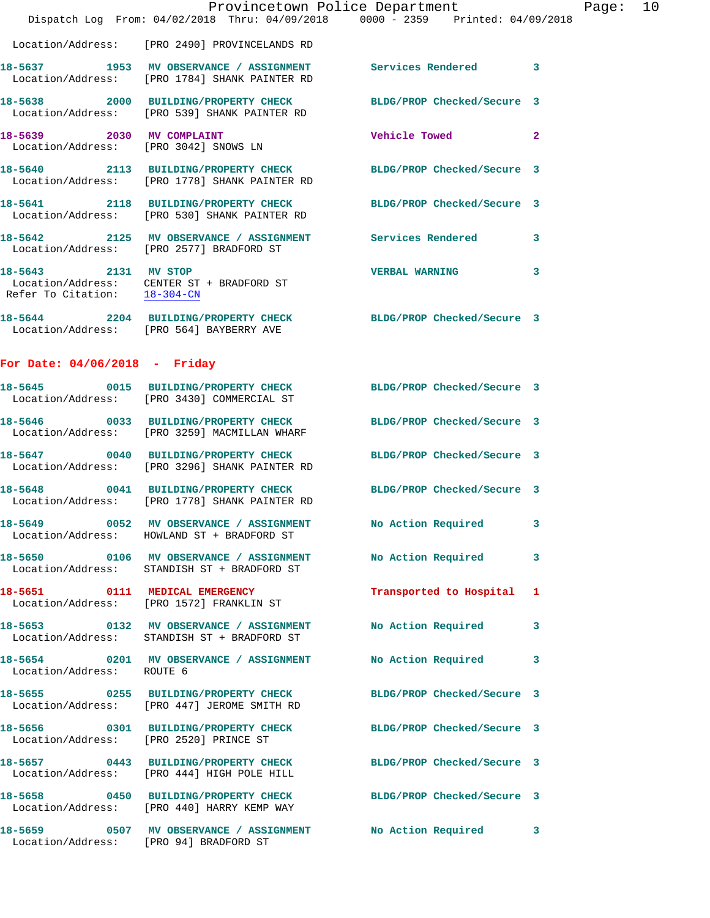|                                        | Provincetown Police Department<br>Dispatch Log From: 04/02/2018 Thru: 04/09/2018 0000 - 2359 Printed: 04/09/2018 |                            |                | Page: 10 |  |
|----------------------------------------|------------------------------------------------------------------------------------------------------------------|----------------------------|----------------|----------|--|
|                                        | Location/Address: [PRO 2490] PROVINCELANDS RD                                                                    |                            |                |          |  |
|                                        | 18-5637 1953 MV OBSERVANCE / ASSIGNMENT Services Rendered 3<br>Location/Address: [PRO 1784] SHANK PAINTER RD     |                            |                |          |  |
|                                        | 18-5638 2000 BUILDING/PROPERTY CHECK BLDG/PROP Checked/Secure 3<br>Location/Address: [PRO 539] SHANK PAINTER RD  |                            |                |          |  |
|                                        | 18-5639 2030 MV COMPLAINT<br>Location/Address: [PRO 3042] SNOWS LN                                               | <b>Vehicle Towed State</b> | $\overline{2}$ |          |  |
|                                        | 18-5640 2113 BUILDING/PROPERTY CHECK BLDG/PROP Checked/Secure 3<br>Location/Address: [PRO 1778] SHANK PAINTER RD |                            |                |          |  |
|                                        | 18-5641 2118 BUILDING/PROPERTY CHECK BLDG/PROP Checked/Secure 3<br>Location/Address: [PRO 530] SHANK PAINTER RD  |                            |                |          |  |
|                                        | 18-5642 2125 MV OBSERVANCE / ASSIGNMENT Services Rendered 3<br>Location/Address: [PRO 2577] BRADFORD ST          |                            |                |          |  |
| 18-5643 2131 MV STOP                   | Location/Address: CENTER ST + BRADFORD ST<br>Refer To Citation: $\frac{18-304-CM}{18-304-CM}$                    | <b>VERBAL WARNING 3</b>    |                |          |  |
|                                        | 18-5644 2204 BUILDING/PROPERTY CHECK BLDG/PROP Checked/Secure 3<br>Location/Address: [PRO 564] BAYBERRY AVE      |                            |                |          |  |
| For Date: $04/06/2018$ - Friday        |                                                                                                                  |                            |                |          |  |
|                                        | 18-5645 0015 BUILDING/PROPERTY CHECK BLDG/PROP Checked/Secure 3<br>Location/Address: [PRO 3430] COMMERCIAL ST    |                            |                |          |  |
|                                        | 18-5646 0033 BUILDING/PROPERTY CHECK BLDG/PROP Checked/Secure 3<br>Location/Address: [PRO 3259] MACMILLAN WHARF  |                            |                |          |  |
|                                        | 18-5647 0040 BUILDING/PROPERTY CHECK BLDG/PROP Checked/Secure 3<br>Location/Address: [PRO 3296] SHANK PAINTER RD |                            |                |          |  |
|                                        | 18-5648 0041 BUILDING/PROPERTY CHECK BLDG/PROP Checked/Secure 3<br>Location/Address: [PRO 1778] SHANK PAINTER RD |                            |                |          |  |
|                                        | 18-5649 0052 MV OBSERVANCE / ASSIGNMENT No Action Required 3<br>Location/Address: HOWLAND ST + BRADFORD ST       |                            |                |          |  |
|                                        | 18-5650 0106 MV OBSERVANCE / ASSIGNMENT<br>Location/Address: STANDISH ST + BRADFORD ST                           | No Action Required 3       |                |          |  |
|                                        | 18-5651 0111 MEDICAL EMERGENCY<br>Location/Address: [PRO 1572] FRANKLIN ST                                       | Transported to Hospital 1  |                |          |  |
|                                        | 18-5653 0132 MV OBSERVANCE / ASSIGNMENT<br>Location/Address: STANDISH ST + BRADFORD ST                           | No Action Required 3       |                |          |  |
| Location/Address: ROUTE 6              | 18-5654 0201 MV OBSERVANCE / ASSIGNMENT No Action Required 3                                                     |                            |                |          |  |
|                                        | 18-5655 0255 BUILDING/PROPERTY CHECK BLDG/PROP Checked/Secure 3<br>Location/Address: [PRO 447] JEROME SMITH RD   |                            |                |          |  |
| Location/Address: [PRO 2520] PRINCE ST | 18-5656 0301 BUILDING/PROPERTY CHECK BLDG/PROP Checked/Secure 3                                                  |                            |                |          |  |
|                                        | 18-5657 0443 BUILDING/PROPERTY CHECK BLDG/PROP Checked/Secure 3<br>Location/Address: [PRO 444] HIGH POLE HILL    |                            |                |          |  |
|                                        | 18-5658 0450 BUILDING/PROPERTY CHECK BLDG/PROP Checked/Secure 3<br>Location/Address: [PRO 440] HARRY KEMP WAY    |                            |                |          |  |
| Location/Address: [PRO 94] BRADFORD ST | 18-5659 0507 MV OBSERVANCE / ASSIGNMENT No Action Required 3                                                     |                            |                |          |  |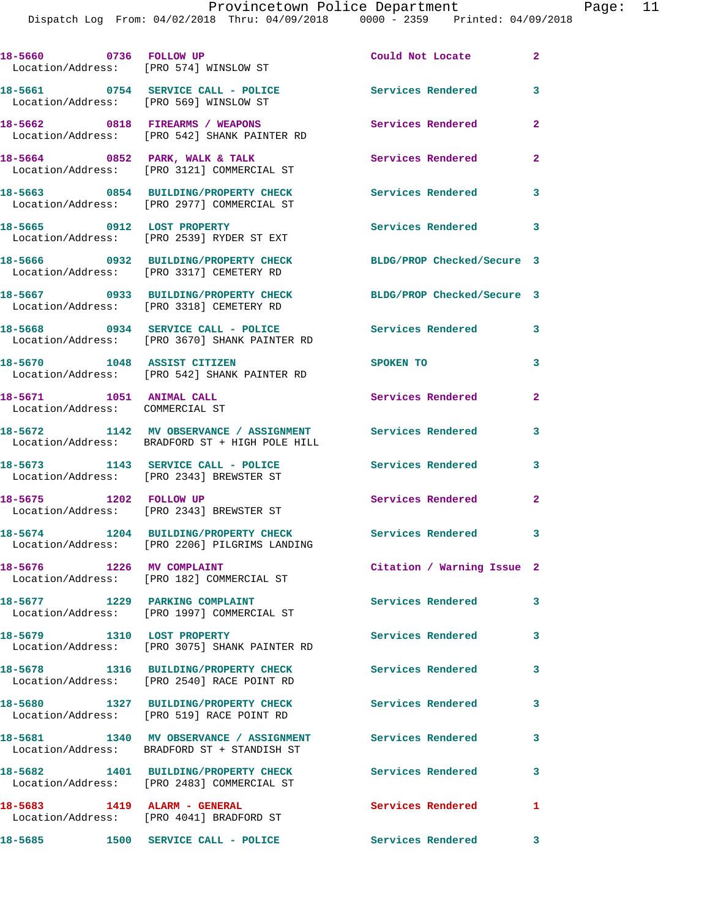Dispatch Log From: 04/02/2018 Thru: 04/09/2018 0000 - 2359 Printed: 04/09/2018

| 18-5660 0736 FOLLOW UP                                      | Location/Address: [PRO 574] WINSLOW ST                                                                    | Could Not Locate           | $\overline{2}$             |
|-------------------------------------------------------------|-----------------------------------------------------------------------------------------------------------|----------------------------|----------------------------|
| Location/Address: [PRO 569] WINSLOW ST                      | 18-5661 0754 SERVICE CALL - POLICE                                                                        | Services Rendered          | $\overline{\mathbf{3}}$    |
|                                                             | 18-5662 0818 FIREARMS / WEAPONS<br>Location/Address: [PRO 542] SHANK PAINTER RD                           | Services Rendered          | $\overline{2}$             |
|                                                             | 18-5664 0852 PARK, WALK & TALK<br>Location/Address: [PRO 3121] COMMERCIAL ST                              | <b>Services Rendered</b>   | $\sim$ 2                   |
|                                                             | 18-5663 0854 BUILDING/PROPERTY CHECK<br>Location/Address: [PRO 2977] COMMERCIAL ST                        | <b>Services Rendered</b>   | 3                          |
| 18-5665 0912 LOST PROPERTY                                  | Location/Address: [PRO 2539] RYDER ST EXT                                                                 | Services Rendered 3        |                            |
|                                                             | 18-5666 0932 BUILDING/PROPERTY CHECK<br>Location/Address: [PRO 3317] CEMETERY RD                          | BLDG/PROP Checked/Secure 3 |                            |
|                                                             | 18-5667 0933 BUILDING/PROPERTY CHECK<br>Location/Address: [PRO 3318] CEMETERY RD                          | BLDG/PROP Checked/Secure 3 |                            |
|                                                             | 18-5668 0934 SERVICE CALL - POLICE<br>Location/Address: [PRO 3670] SHANK PAINTER RD                       | <b>Services Rendered</b>   | $\overline{\phantom{a}}$ 3 |
| 18-5670 1048 ASSIST CITIZEN                                 | Location/Address: [PRO 542] SHANK PAINTER RD                                                              | SPOKEN TO                  | 3                          |
| 18-5671 1051 ANIMAL CALL<br>Location/Address: COMMERCIAL ST |                                                                                                           | Services Rendered          | $\mathbf{2}$               |
|                                                             | 18-5672 1142 MV OBSERVANCE / ASSIGNMENT<br>Location/Address: BRADFORD ST + HIGH POLE HILL                 | <b>Services Rendered</b>   | 3                          |
|                                                             | 18-5673 1143 SERVICE CALL - POLICE<br>Location/Address: [PRO 2343] BREWSTER ST                            | <b>Services Rendered</b>   | 3                          |
|                                                             | 18-5675 1202 FOLLOW UP<br>Location/Address: [PRO 2343] BREWSTER ST                                        | Services Rendered          | $\mathbf{2}$               |
|                                                             | 18-5674 1204 BUILDING/PROPERTY CHECK Services Rendered 3<br>Location/Address: [PRO 2206] PILGRIMS LANDING |                            |                            |
| 18-5676 1226 MV COMPLAINT                                   | Location/Address: [PRO 182] COMMERCIAL ST                                                                 | Citation / Warning Issue 2 |                            |
|                                                             | 18-5677 1229 PARKING COMPLAINT<br>Location/Address: [PRO 1997] COMMERCIAL ST                              | <b>Services Rendered</b>   | 3                          |
| 18-5679 1310 LOST PROPERTY                                  | Location/Address: [PRO 3075] SHANK PAINTER RD                                                             | Services Rendered          | $\overline{\mathbf{3}}$    |
|                                                             | 18-5678 1316 BUILDING/PROPERTY CHECK<br>Location/Address: [PRO 2540] RACE POINT RD                        | <b>Services Rendered</b>   | 3                          |
|                                                             | 18-5680 1327 BUILDING/PROPERTY CHECK<br>Location/Address: [PRO 519] RACE POINT RD                         | Services Rendered          | 3                          |
|                                                             | 18-5681 1340 MV OBSERVANCE / ASSIGNMENT<br>Location/Address: BRADFORD ST + STANDISH ST                    | <b>Services Rendered</b>   | 3                          |
|                                                             | 18-5682 1401 BUILDING/PROPERTY CHECK<br>Location/Address: [PRO 2483] COMMERCIAL ST                        | <b>Services Rendered</b>   | 3                          |
| 18-5683 1419 ALARM - GENERAL                                | Location/Address: [PRO 4041] BRADFORD ST                                                                  | Services Rendered          | $\blacksquare$             |
|                                                             |                                                                                                           | Services Rendered 3        |                            |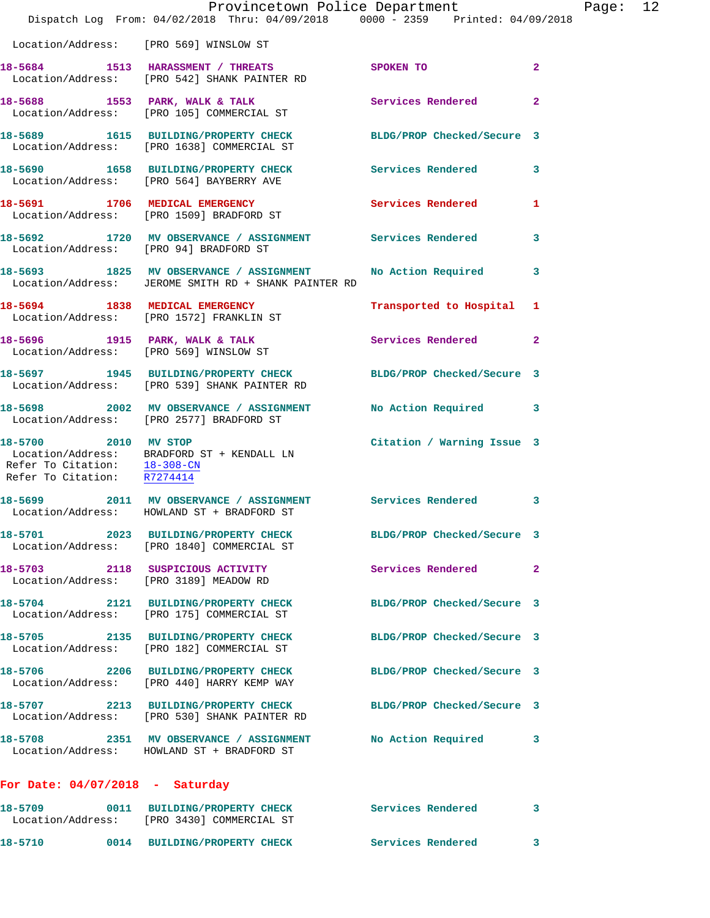|                                                                                     | Dispatch Log From: 04/02/2018 Thru: 04/09/2018 0000 - 2359 Printed: 04/09/2018                                  | Provincetown Police Department |              | Page: 12 |  |
|-------------------------------------------------------------------------------------|-----------------------------------------------------------------------------------------------------------------|--------------------------------|--------------|----------|--|
| Location/Address: [PRO 569] WINSLOW ST                                              |                                                                                                                 |                                |              |          |  |
|                                                                                     | 18-5684 1513 HARASSMENT / THREATS SPOKEN TO<br>Location/Address: [PRO 542] SHANK PAINTER RD                     |                                | $\mathbf{2}$ |          |  |
|                                                                                     | 18-5688 1553 PARK, WALK & TALK 1988 Services Rendered<br>Location/Address: [PRO 105] COMMERCIAL ST              |                                | $\mathbf{2}$ |          |  |
|                                                                                     | 18-5689 1615 BUILDING/PROPERTY CHECK BLDG/PROP Checked/Secure 3<br>Location/Address: [PRO 1638] COMMERCIAL ST   |                                |              |          |  |
|                                                                                     | 18-5690 1658 BUILDING/PROPERTY CHECK Services Rendered<br>Location/Address: [PRO 564] BAYBERRY AVE              |                                | $\mathbf{3}$ |          |  |
|                                                                                     | 18-5691 1706 MEDICAL EMERGENCY Services Rendered 1<br>Location/Address: [PRO 1509] BRADFORD ST                  |                                |              |          |  |
| Location/Address: [PRO 94] BRADFORD ST                                              | 18-5692 1720 MV OBSERVANCE / ASSIGNMENT Services Rendered                                                       |                                | 3            |          |  |
|                                                                                     | 18-5693 1825 MV OBSERVANCE / ASSIGNMENT<br>Location/Address: JEROME SMITH RD + SHANK PAINTER RD                 | No Action Required 3           |              |          |  |
|                                                                                     | 18-5694 1838 MEDICAL EMERGENCY<br>Location/Address: [PRO 1572] FRANKLIN ST                                      | Transported to Hospital 1      |              |          |  |
|                                                                                     | 18-5696 1915 PARK, WALK & TALK<br>Location/Address: [PRO 569] WINSLOW ST                                        | Services Rendered              | $\mathbf{2}$ |          |  |
|                                                                                     | 18-5697 1945 BUILDING/PROPERTY CHECK BLDG/PROP Checked/Secure 3<br>Location/Address: [PRO 539] SHANK PAINTER RD |                                |              |          |  |
|                                                                                     | 18-5698 2002 MV OBSERVANCE / ASSIGNMENT No Action Required 3<br>Location/Address: [PRO 2577] BRADFORD ST        |                                |              |          |  |
| 18-5700 2010 MV STOP<br>Refer To Citation: 18-308-CN<br>Refer To Citation: R7274414 | Location/Address: BRADFORD ST + KENDALL LN                                                                      | Citation / Warning Issue 3     |              |          |  |
|                                                                                     | 18-5699 2011 MV OBSERVANCE / ASSIGNMENT Services Rendered<br>Location/Address: HOWLAND ST + BRADFORD ST         |                                | 3            |          |  |
|                                                                                     | 18-5701 2023 BUILDING/PROPERTY CHECK<br>Location/Address: [PRO 1840] COMMERCIAL ST                              | BLDG/PROP Checked/Secure 3     |              |          |  |
|                                                                                     | 18-5703 2118 SUSPICIOUS ACTIVITY<br>Location/Address: [PRO 3189] MEADOW RD                                      | Services Rendered              | $\mathbf{2}$ |          |  |
|                                                                                     | 18-5704 2121 BUILDING/PROPERTY CHECK<br>Location/Address: [PRO 175] COMMERCIAL ST                               | BLDG/PROP Checked/Secure 3     |              |          |  |
|                                                                                     | 18-5705 2135 BUILDING/PROPERTY CHECK BLDG/PROP Checked/Secure 3<br>Location/Address: [PRO 182] COMMERCIAL ST    |                                |              |          |  |
|                                                                                     | 18-5706 2206 BUILDING/PROPERTY CHECK BLDG/PROP Checked/Secure 3<br>Location/Address: [PRO 440] HARRY KEMP WAY   |                                |              |          |  |
|                                                                                     | 18-5707 2213 BUILDING/PROPERTY CHECK<br>Location/Address: [PRO 530] SHANK PAINTER RD                            | BLDG/PROP Checked/Secure 3     |              |          |  |
|                                                                                     | 18-5708 2351 MV OBSERVANCE / ASSIGNMENT No Action Required 3<br>Location/Address: HOWLAND ST + BRADFORD ST      |                                |              |          |  |
| For Date: $04/07/2018$ - Saturday                                                   |                                                                                                                 |                                |              |          |  |
| 18-5709                                                                             | 0011 BUILDING/PROPERTY CHECK Services Rendered<br>Location/Address: [PRO 3430] COMMERCIAL ST                    |                                | 3            |          |  |

**18-5710 0014 BUILDING/PROPERTY CHECK Services Rendered 3**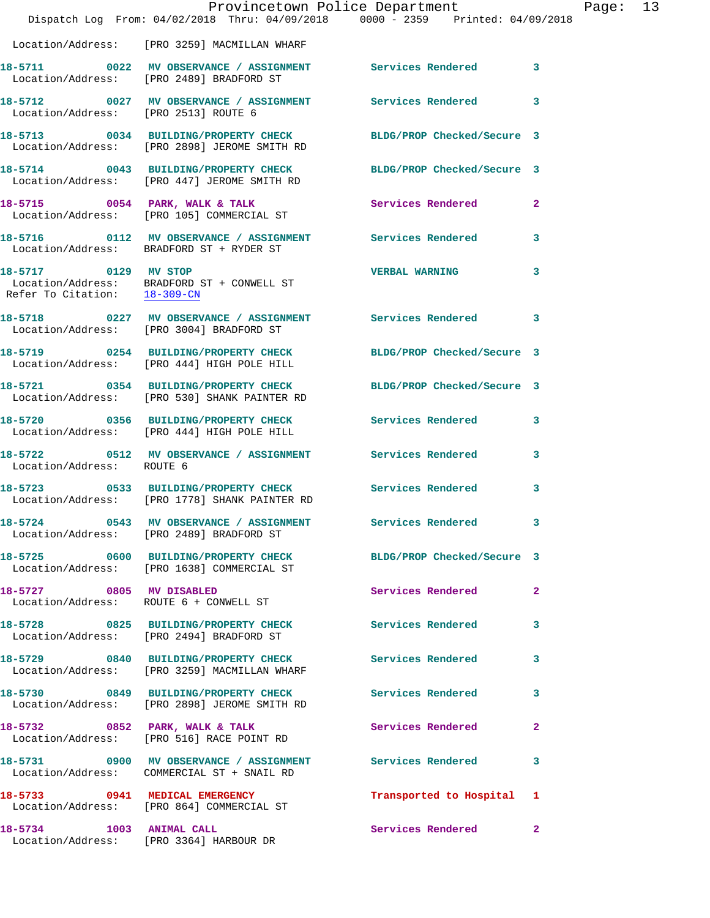|                                                      | Provincetown Police Department                                                                           | Dispatch Log From: 04/02/2018 Thru: 04/09/2018 0000 - 2359 Printed: 04/09/2018 |                |
|------------------------------------------------------|----------------------------------------------------------------------------------------------------------|--------------------------------------------------------------------------------|----------------|
|                                                      | Location/Address: [PRO 3259] MACMILLAN WHARF                                                             |                                                                                |                |
|                                                      | 18-5711 0022 MV OBSERVANCE / ASSIGNMENT Services Rendered<br>Location/Address: [PRO 2489] BRADFORD ST    |                                                                                | 3              |
| Location/Address: [PRO 2513] ROUTE 6                 | 18-5712 0027 MV OBSERVANCE / ASSIGNMENT Services Rendered                                                |                                                                                | 3              |
|                                                      | 18-5713 0034 BUILDING/PROPERTY CHECK<br>Location/Address: [PRO 2898] JEROME SMITH RD                     | BLDG/PROP Checked/Secure 3                                                     |                |
|                                                      | 18-5714 0043 BUILDING/PROPERTY CHECK<br>Location/Address: [PRO 447] JEROME SMITH RD                      | BLDG/PROP Checked/Secure 3                                                     |                |
|                                                      | 18-5715 0054 PARK, WALK & TALK<br>Location/Address: [PRO 105] COMMERCIAL ST                              | Services Rendered                                                              | $\overline{a}$ |
|                                                      | 18-5716 0112 MV OBSERVANCE / ASSIGNMENT Services Rendered<br>Location/Address: BRADFORD ST + RYDER ST    |                                                                                | 3              |
| 18-5717 0129 MV STOP<br>Refer To Citation: 18-309-CM | Location/Address: BRADFORD ST + CONWELL ST                                                               | <b>VERBAL WARNING</b>                                                          | 3              |
|                                                      | 18-5718 		 0227 MV OBSERVANCE / ASSIGNMENT Services Rendered<br>Location/Address: [PRO 3004] BRADFORD ST |                                                                                | 3              |
|                                                      | 18-5719 0254 BUILDING/PROPERTY CHECK<br>Location/Address: [PRO 444] HIGH POLE HILL                       | BLDG/PROP Checked/Secure 3                                                     |                |
|                                                      | 18-5721 0354 BUILDING/PROPERTY CHECK<br>Location/Address: [PRO 530] SHANK PAINTER RD                     | BLDG/PROP Checked/Secure 3                                                     |                |
|                                                      | 18-5720 0356 BUILDING/PROPERTY CHECK<br>Location/Address: [PRO 444] HIGH POLE HILL                       | <b>Services Rendered</b>                                                       | 3              |
| Location/Address: ROUTE 6                            | 18-5722 0512 MV OBSERVANCE / ASSIGNMENT Services Rendered                                                |                                                                                | 3              |
|                                                      | 18-5723 0533 BUILDING/PROPERTY CHECK<br>Location/Address: [PRO 1778] SHANK PAINTER RD                    | <b>Services Rendered</b>                                                       | 3              |
|                                                      | 18-5724 0543 MV OBSERVANCE / ASSIGNMENT<br>Location/Address: [PRO 2489] BRADFORD ST                      | Services Rendered                                                              | $\mathbf{3}$   |
|                                                      | Location/Address: [PRO 1638] COMMERCIAL ST                                                               | 18-5725 0600 BUILDING/PROPERTY CHECK BLDG/PROP Checked/Secure 3                |                |
| 18-5727 0805 MV DISABLED                             | Location/Address: ROUTE 6 + CONWELL ST                                                                   | Services Rendered                                                              | $\overline{2}$ |
|                                                      | 18-5728 0825 BUILDING/PROPERTY CHECK<br>Location/Address: [PRO 2494] BRADFORD ST                         | <b>Services Rendered</b>                                                       | 3              |
|                                                      | 18-5729 0840 BUILDING/PROPERTY CHECK<br>Location/Address: [PRO 3259] MACMILLAN WHARF                     | <b>Services Rendered</b>                                                       | 3              |
|                                                      | 18-5730 0849 BUILDING/PROPERTY CHECK<br>Location/Address: [PRO 2898] JEROME SMITH RD                     | <b>Services Rendered</b>                                                       | 3              |
|                                                      | 18-5732 0852 PARK, WALK & TALK<br>Location/Address: [PRO 516] RACE POINT RD                              | <b>Services Rendered</b>                                                       | $\overline{2}$ |
|                                                      | 18-5731 0900 MV OBSERVANCE / ASSIGNMENT Services Rendered<br>Location/Address: COMMERCIAL ST + SNAIL RD  |                                                                                | 3              |
|                                                      | 18-5733 0941 MEDICAL EMERGENCY<br>Location/Address: [PRO 864] COMMERCIAL ST                              | Transported to Hospital                                                        | 1              |
| 18-5734 1003 ANIMAL CALL                             | Location/Address: [PRO 3364] HARBOUR DR                                                                  | Services Rendered                                                              | $\overline{2}$ |

Page: 13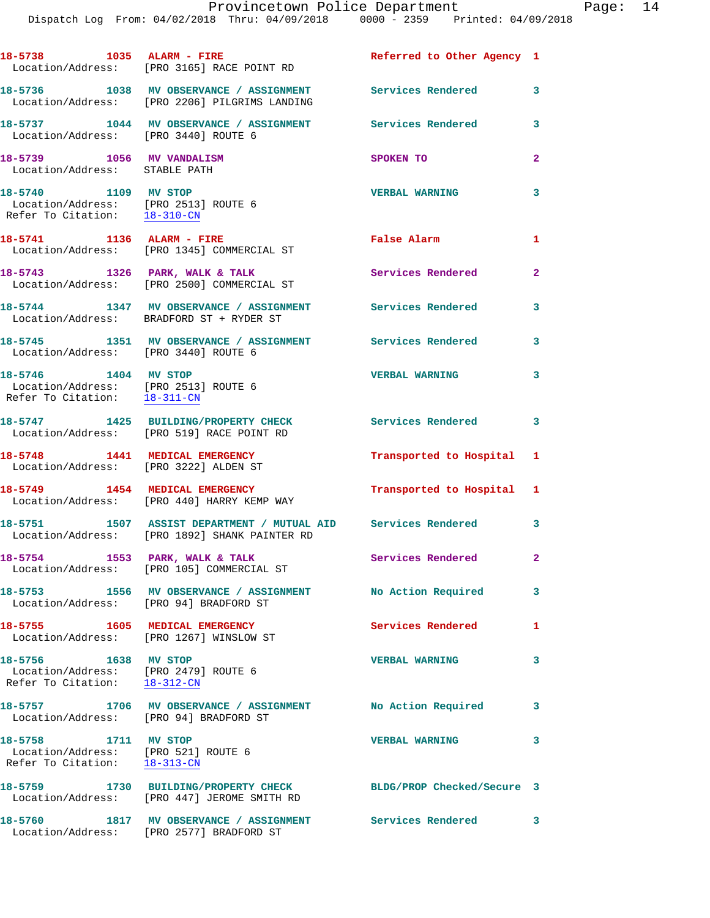| 18-5738 1035 ALARM - FIRE                                                                    | Location/Address: [PRO 3165] RACE POINT RD                                                                       | Referred to Other Agency 1 |                         |
|----------------------------------------------------------------------------------------------|------------------------------------------------------------------------------------------------------------------|----------------------------|-------------------------|
|                                                                                              | 18-5736 1038 MV OBSERVANCE / ASSIGNMENT Services Rendered<br>Location/Address: [PRO 2206] PILGRIMS LANDING       |                            | $\overline{\mathbf{3}}$ |
| Location/Address: [PRO 3440] ROUTE 6                                                         | 18-5737 1044 MV OBSERVANCE / ASSIGNMENT Services Rendered                                                        |                            | 3                       |
| 18-5739 1056 MV VANDALISM<br>Location/Address: STABLE PATH                                   |                                                                                                                  | SPOKEN TO                  | $\overline{2}$          |
| 18-5740 1109 MV STOP<br>Location/Address: [PRO 2513] ROUTE 6<br>Refer To Citation: 18-310-CN |                                                                                                                  | <b>VERBAL WARNING</b>      | 3                       |
| 18-5741 1136 ALARM - FIRE                                                                    | Location/Address: [PRO 1345] COMMERCIAL ST                                                                       | False Alarm                | $\mathbf{1}$            |
|                                                                                              | 18-5743 1326 PARK, WALK & TALK<br>Location/Address: [PRO 2500] COMMERCIAL ST                                     | Services Rendered          | $\mathbf{2}$            |
|                                                                                              | 18-5744 1347 MV OBSERVANCE / ASSIGNMENT Services Rendered<br>Location/Address: BRADFORD ST + RYDER ST            |                            | 3                       |
| Location/Address: [PRO 3440] ROUTE 6                                                         | 18-5745 1351 MV OBSERVANCE / ASSIGNMENT Services Rendered                                                        |                            | 3                       |
| 18-5746 1404 MV STOP<br>Location/Address: [PRO 2513] ROUTE 6<br>Refer To Citation: 18-311-CN |                                                                                                                  | <b>VERBAL WARNING</b>      | 3                       |
|                                                                                              | 18-5747 1425 BUILDING/PROPERTY CHECK<br>Location/Address: [PRO 519] RACE POINT RD                                | Services Rendered 3        |                         |
| 18-5748 1441 MEDICAL EMERGENCY<br>Location/Address: [PRO 3222] ALDEN ST                      |                                                                                                                  | Transported to Hospital 1  |                         |
|                                                                                              | 18-5749 1454 MEDICAL EMERGENCY<br>Location/Address: [PRO 440] HARRY KEMP WAY                                     | Transported to Hospital 1  |                         |
|                                                                                              | 18-5751 1507 ASSIST DEPARTMENT / MUTUAL AID Services Rendered 3<br>Location/Address: [PRO 1892] SHANK PAINTER RD |                            |                         |
|                                                                                              | 18-5754 1553 PARK, WALK & TALK<br>Location/Address: [PRO 105] COMMERCIAL ST                                      | Services Rendered          | $\mathbf{2}^-$          |
| 18-5753<br>Location/Address: [PRO 94] BRADFORD ST                                            | 1556 MV OBSERVANCE / ASSIGNMENT No Action Required                                                               |                            | 3                       |
|                                                                                              | 18-5755 1605 MEDICAL EMERGENCY<br>Location/Address: [PRO 1267] WINSLOW ST                                        | <b>Services Rendered</b>   | 1                       |
| 18-5756 1638 MV STOP<br>Location/Address: [PRO 2479] ROUTE 6<br>Refer To Citation: 18-312-CN |                                                                                                                  | <b>VERBAL WARNING</b>      | 3                       |
| Location/Address: [PRO 94] BRADFORD ST                                                       | 18-5757 1706 MV OBSERVANCE / ASSIGNMENT No Action Required                                                       |                            | 3                       |
| 18-5758 1711 MV STOP<br>Location/Address: [PRO 521] ROUTE 6<br>Refer To Citation: 18-313-CN  |                                                                                                                  | <b>VERBAL WARNING</b>      | 3                       |
| 18-5759                                                                                      | 1730 BUILDING/PROPERTY CHECK BLDG/PROP Checked/Secure 3<br>Location/Address: [PRO 447] JEROME SMITH RD           |                            |                         |

**18-5760 1817 MV OBSERVANCE / ASSIGNMENT Services Rendered 3**  Location/Address: [PRO 2577] BRADFORD ST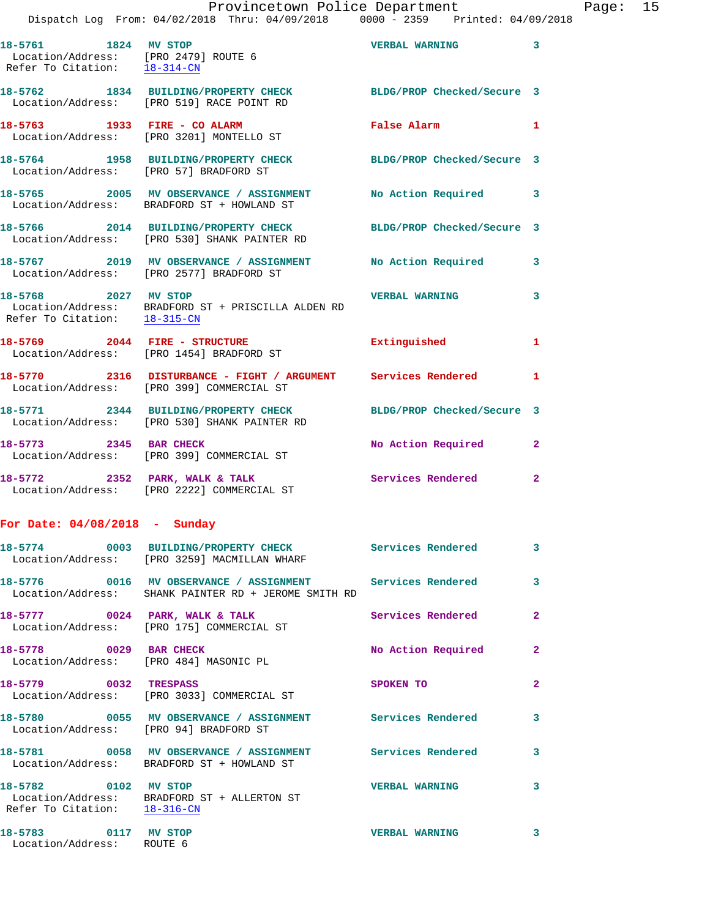|                      | Dispatch Log From: 04/02/2018 Thru: 04/09/2018 0000 - 2359 Printed: 04/09/2018                                                        | Provincetown Police Department       |              | Page: 15 |  |
|----------------------|---------------------------------------------------------------------------------------------------------------------------------------|--------------------------------------|--------------|----------|--|
|                      | 18-5761 1824 MV STOP 180 2008 2009 2012 2021 203<br>Location/Address: [PRO 2479] ROUTE 6<br>Refer To Citation: $\frac{18-314-CN}{28}$ |                                      |              |          |  |
|                      | 18-5762 1834 BUILDING/PROPERTY CHECK BLDG/PROP Checked/Secure 3<br>Location/Address: [PRO 519] RACE POINT RD                          |                                      |              |          |  |
|                      | 18-5763 1933 FIRE - CO ALARM<br>Location/Address: [PRO 3201] MONTELLO ST                                                              | False Alarm 1                        |              |          |  |
|                      | 18-5764 1958 BUILDING/PROPERTY CHECK BLDG/PROP Checked/Secure 3<br>Location/Address: [PRO 57] BRADFORD ST                             |                                      |              |          |  |
|                      | 18-5765 2005 MV OBSERVANCE / ASSIGNMENT No Action Required 3<br>Location/Address: BRADFORD ST + HOWLAND ST                            |                                      |              |          |  |
|                      | 18-5766 2014 BUILDING/PROPERTY CHECK BLDG/PROP Checked/Secure 3<br>Location/Address: [PRO 530] SHANK PAINTER RD                       |                                      |              |          |  |
|                      | 18-5767 2019 MV OBSERVANCE / ASSIGNMENT No Action Required 3<br>Location/Address: [PRO 2577] BRADFORD ST                              |                                      |              |          |  |
| 18-5768 2027 MV STOP |                                                                                                                                       | <b>SALL VERBAL WARNING AND STATE</b> |              |          |  |
|                      | 18-5769 2044 FIRE - STRUCTURE<br>Location/Address: [PRO 1454] BRADFORD ST                                                             | Extinguished                         | $\mathbf{1}$ |          |  |
|                      | 18-5770 2316 DISTURBANCE - FIGHT / ARGUMENT Services Rendered 1<br>Location/Address: [PRO 399] COMMERCIAL ST                          |                                      |              |          |  |
|                      | 18-5771 2344 BUILDING/PROPERTY CHECK BLDG/PROP Checked/Secure 3<br>Location/Address: [PRO 530] SHANK PAINTER RD                       |                                      |              |          |  |
|                      | 18-5773 2345 BAR CHECK<br>Location/Address: [PRO 399] COMMERCIAL ST                                                                   | No Action Required 2                 |              |          |  |
|                      | 18-5772 2352 PARK, WALK & TALK 2 Services Rendered 2<br>Location/Address: [PRO 2222] COMMERCIAL ST                                    |                                      |              |          |  |
|                      |                                                                                                                                       |                                      |              |          |  |

**For Date: 04/08/2018 - Sunday**

|                                                                  | 18-5774 0003 BUILDING/PROPERTY CHECK Services Rendered<br>Location/Address: [PRO 3259] MACMILLAN WHARF                                               |                          | $\overline{\mathbf{3}}$ |
|------------------------------------------------------------------|------------------------------------------------------------------------------------------------------------------------------------------------------|--------------------------|-------------------------|
|                                                                  | 18-5776                0016     MV OBSERVANCE / ASSIGNMENT                 Services Rendered<br>Location/Address: SHANK PAINTER RD + JEROME SMITH RD |                          | $\overline{\mathbf{3}}$ |
|                                                                  | $18-5777$ 0024 PARK, WALK & TALK<br>Location/Address: [PRO 175] COMMERCIAL ST                                                                        | <b>Services Rendered</b> | $\overline{2}$          |
| 18-5778 0029 BAR CHECK<br>Location/Address: [PRO 484] MASONIC PL |                                                                                                                                                      | No Action Required       | $\overline{2}$          |
| 18-5779 0032 TRESPASS                                            | Location/Address: [PRO 3033] COMMERCIAL ST                                                                                                           | SPOKEN TO                | $\overline{2}$          |
| Location/Address: [PRO 94] BRADFORD ST                           | 18-5780                0055     MV OBSERVANCE  /  ASSIGNMENT                  Services Rendered                                                      |                          | $\mathbf{3}$            |
|                                                                  | Location/Address: BRADFORD ST + HOWLAND ST                                                                                                           |                          | $\mathbf{3}$            |
| 18-5782 0102 MV STOP<br>Refer To Citation: 18-316-CN             | Location/Address: BRADFORD ST + ALLERTON ST                                                                                                          | <b>VERBAL WARNING</b>    | 3                       |
| 18-5783 0117 MV STOP<br>Location/Address: ROUTE 6                |                                                                                                                                                      | <b>VERBAL WARNING</b>    | $\mathbf{3}$            |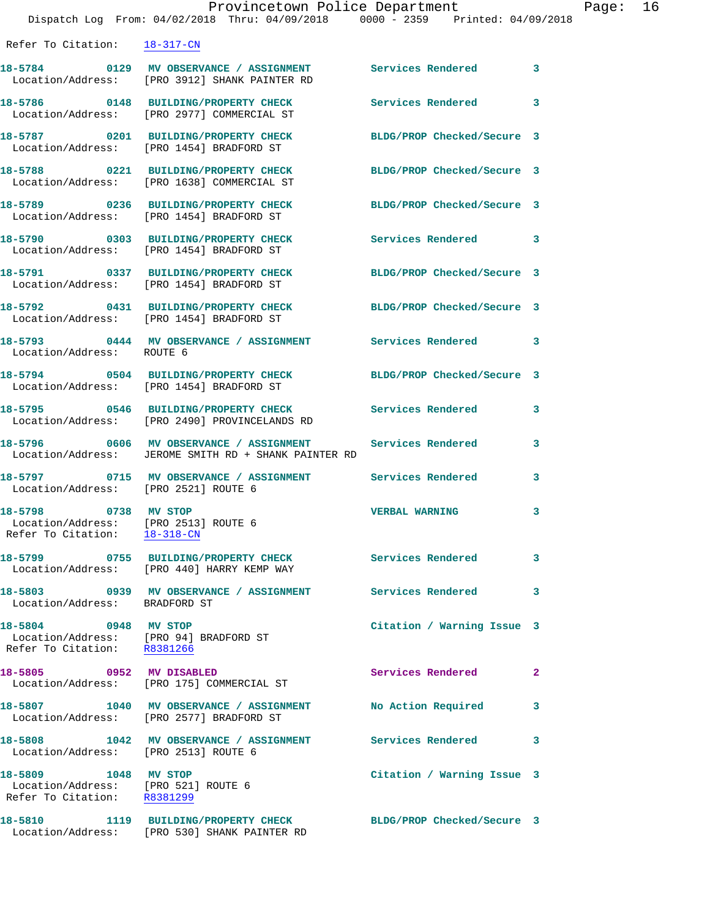|                                                                                              | Provincetown Police Department<br>Dispatch Log From: 04/02/2018 Thru: 04/09/2018 0000 - 2359 Printed: 04/09/2018 |                            |              |
|----------------------------------------------------------------------------------------------|------------------------------------------------------------------------------------------------------------------|----------------------------|--------------|
| Refer To Citation: 18-317-CN                                                                 |                                                                                                                  |                            |              |
|                                                                                              | 18-5784 0129 MV OBSERVANCE / ASSIGNMENT Services Rendered<br>Location/Address: [PRO 3912] SHANK PAINTER RD       |                            | 3            |
|                                                                                              | 18-5786 0148 BUILDING/PROPERTY CHECK<br>Location/Address: [PRO 2977] COMMERCIAL ST                               | Services Rendered          | 3            |
|                                                                                              | 18-5787 0201 BUILDING/PROPERTY CHECK<br>Location/Address: [PRO 1454] BRADFORD ST                                 | BLDG/PROP Checked/Secure 3 |              |
|                                                                                              | 18-5788 0221 BUILDING/PROPERTY CHECK<br>Location/Address: [PRO 1638] COMMERCIAL ST                               | BLDG/PROP Checked/Secure 3 |              |
|                                                                                              | 18-5789 0236 BUILDING/PROPERTY CHECK<br>Location/Address: [PRO 1454] BRADFORD ST                                 | BLDG/PROP Checked/Secure 3 |              |
|                                                                                              | 18-5790 0303 BUILDING/PROPERTY CHECK<br>Location/Address: [PRO 1454] BRADFORD ST                                 | <b>Services Rendered</b>   | 3            |
|                                                                                              | 18-5791 0337 BUILDING/PROPERTY CHECK<br>Location/Address: [PRO 1454] BRADFORD ST                                 | BLDG/PROP Checked/Secure 3 |              |
|                                                                                              | 18-5792 0431 BUILDING/PROPERTY CHECK<br>Location/Address: [PRO 1454] BRADFORD ST                                 | BLDG/PROP Checked/Secure 3 |              |
| Location/Address: ROUTE 6                                                                    | 18-5793 0444 MV OBSERVANCE / ASSIGNMENT Services Rendered 3                                                      |                            |              |
|                                                                                              | 18-5794 0504 BUILDING/PROPERTY CHECK<br>Location/Address: [PRO 1454] BRADFORD ST                                 | BLDG/PROP Checked/Secure 3 |              |
|                                                                                              | 18-5795 0546 BUILDING/PROPERTY CHECK<br>Location/Address: [PRO 2490] PROVINCELANDS RD                            | Services Rendered          | 3            |
|                                                                                              | 18-5796 0606 MV OBSERVANCE / ASSIGNMENT<br>Location/Address: JEROME SMITH RD + SHANK PAINTER RD                  | Services Rendered          | 3            |
| Location/Address: [PRO 2521] ROUTE 6                                                         | 18-5797 0715 MV OBSERVANCE / ASSIGNMENT Services Rendered                                                        |                            | 3            |
| 18-5798 0738 MV STOP<br>Location/Address: [PRO 2513] ROUTE 6<br>Refer To Citation: 18-318-CN |                                                                                                                  | <b>VERBAL WARNING</b>      | 3            |
|                                                                                              | Location/Address: [PRO 440] HARRY KEMP WAY                                                                       |                            | 3            |
| Location/Address: BRADFORD ST                                                                | 18-5803 6939 MV OBSERVANCE / ASSIGNMENT Services Rendered                                                        |                            | 3            |
| 18-5804 0948 MV STOP                                                                         | Location/Address: [PRO 94] BRADFORD ST<br>Refer To Citation: R8381266                                            | Citation / Warning Issue 3 |              |
| 18-5805 0952 MV DISABLED                                                                     | Location/Address: [PRO 175] COMMERCIAL ST                                                                        | <b>Services Rendered</b>   | $\mathbf{2}$ |
|                                                                                              | 18-5807 1040 MV OBSERVANCE / ASSIGNMENT<br>Location/Address: [PRO 2577] BRADFORD ST                              | No Action Required         | 3            |
| Location/Address: [PRO 2513] ROUTE 6                                                         | 18-5808 1042 MV OBSERVANCE / ASSIGNMENT                                                                          | <b>Services Rendered</b>   | 3            |
| 18-5809 1048 MV STOP<br>Location/Address: [PRO 521] ROUTE 6<br>Refer To Citation: R8381299   |                                                                                                                  | Citation / Warning Issue 3 |              |
| 18-5810                                                                                      | 1119 BUILDING/PROPERTY CHECK                                                                                     | BLDG/PROP Checked/Secure 3 |              |

Location/Address: [PRO 530] SHANK PAINTER RD

Page: 16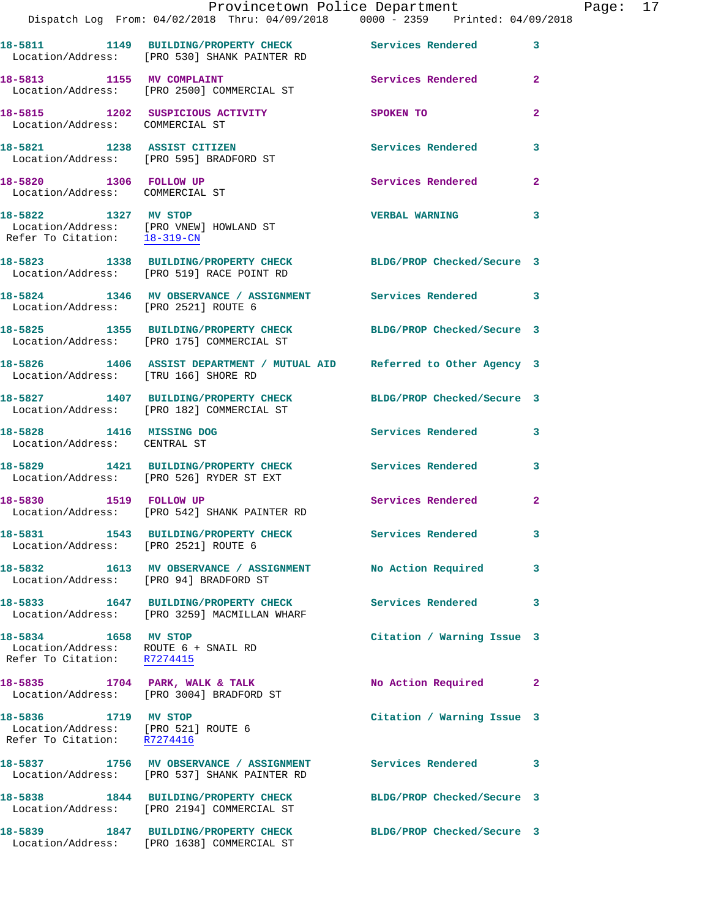|                                                                                             |                                                                                                                | Provincetown Police Department |                | Page: 17 |  |
|---------------------------------------------------------------------------------------------|----------------------------------------------------------------------------------------------------------------|--------------------------------|----------------|----------|--|
|                                                                                             | Dispatch Log From: 04/02/2018 Thru: 04/09/2018 0000 - 2359 Printed: 04/09/2018                                 |                                |                |          |  |
|                                                                                             | 18-5811 1149 BUILDING/PROPERTY CHECK Services Rendered<br>Location/Address: [PRO 530] SHANK PAINTER RD         |                                | 3              |          |  |
| 18-5813 1155 MV COMPLAINT                                                                   | Location/Address: [PRO 2500] COMMERCIAL ST                                                                     | Services Rendered              | $\mathbf{2}$   |          |  |
|                                                                                             | 18-5815 1202 SUSPICIOUS ACTIVITY<br>Location/Address: COMMERCIAL ST                                            | SPOKEN TO                      | $\mathbf{2}$   |          |  |
|                                                                                             | 18-5821 1238 ASSIST CITIZEN<br>Location/Address: [PRO 595] BRADFORD ST                                         | Services Rendered              | 3              |          |  |
| 18-5820 1306 FOLLOW UP<br>Location/Address: COMMERCIAL ST                                   |                                                                                                                | Services Rendered              | $\overline{2}$ |          |  |
| Refer To Citation: 18-319-CN                                                                | 18-5822 1327 MV STOP<br>Location/Address: [PRO VNEW] HOWLAND ST                                                | <b>VERBAL WARNING</b>          | 3              |          |  |
|                                                                                             | 18-5823 1338 BUILDING/PROPERTY CHECK BLDG/PROP Checked/Secure 3<br>Location/Address: [PRO 519] RACE POINT RD   |                                |                |          |  |
| Location/Address: [PRO 2521] ROUTE 6                                                        | 18-5824 1346 MV OBSERVANCE / ASSIGNMENT Services Rendered 3                                                    |                                |                |          |  |
|                                                                                             | 18-5825 1355 BUILDING/PROPERTY CHECK BLDG/PROP Checked/Secure 3<br>Location/Address: [PRO 175] COMMERCIAL ST   |                                |                |          |  |
|                                                                                             | 18-5826 1406 ASSIST DEPARTMENT / MUTUAL AID Referred to Other Agency 3<br>Location/Address: [TRU 166] SHORE RD |                                |                |          |  |
|                                                                                             | 18-5827 1407 BUILDING/PROPERTY CHECK BLDG/PROP Checked/Secure 3<br>Location/Address: [PRO 182] COMMERCIAL ST   |                                |                |          |  |
| 18-5828 1416 MISSING DOG<br>Location/Address: CENTRAL ST                                    |                                                                                                                | Services Rendered              | 3              |          |  |
|                                                                                             | 18-5829 1421 BUILDING/PROPERTY CHECK Services Rendered<br>Location/Address: [PRO 526] RYDER ST EXT             |                                | 3              |          |  |
|                                                                                             | 18-5830 1519 FOLLOW UP<br>Location/Address: [PRO 542] SHANK PAINTER RD                                         | Services Rendered              | $\mathbf{2}$   |          |  |
| Location/Address: [PRO 2521] ROUTE 6                                                        | 18-5831 1543 BUILDING/PROPERTY CHECK Services Rendered                                                         |                                | 3              |          |  |
| Location/Address: [PRO 94] BRADFORD ST                                                      | 18-5832 1613 MV OBSERVANCE / ASSIGNMENT No Action Required                                                     |                                | 3              |          |  |
|                                                                                             | 18-5833 1647 BUILDING/PROPERTY CHECK<br>Location/Address: [PRO 3259] MACMILLAN WHARF                           | Services Rendered              | 3              |          |  |
| 18-5834 1658 MV STOP<br>Location/Address: ROUTE 6 + SNAIL RD<br>Refer To Citation: R7274415 |                                                                                                                | Citation / Warning Issue 3     |                |          |  |
|                                                                                             | 18-5835 1704 PARK, WALK & TALK<br>Location/Address: [PRO 3004] BRADFORD ST                                     | No Action Required             | 2              |          |  |
| 18-5836 1719 MV STOP<br>Location/Address: [PRO 521] ROUTE 6<br>Refer To Citation: R7274416  |                                                                                                                | Citation / Warning Issue 3     |                |          |  |
|                                                                                             | 18-5837 1756 MV OBSERVANCE / ASSIGNMENT<br>Location/Address: [PRO 537] SHANK PAINTER RD                        | <b>Services Rendered</b>       | 3              |          |  |
|                                                                                             | 18-5838 1844 BUILDING/PROPERTY CHECK BLDG/PROP Checked/Secure 3<br>Location/Address: [PRO 2194] COMMERCIAL ST  |                                |                |          |  |
|                                                                                             | 18-5839 1847 BUILDING/PROPERTY CHECK<br>Location/Address: [PRO 1638] COMMERCIAL ST                             | BLDG/PROP Checked/Secure 3     |                |          |  |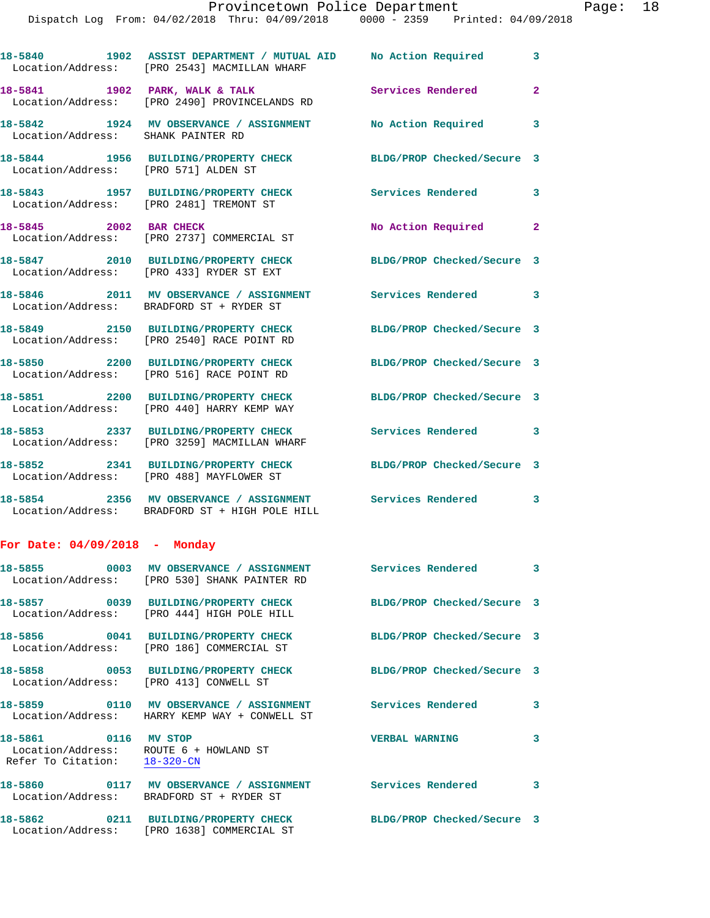|                                                 | 18-5840 1902 ASSIST DEPARTMENT / MUTUAL AID No Action Required<br>Location/Address: [PRO 2543] MACMILLAN WHARF |                            | 3                       |
|-------------------------------------------------|----------------------------------------------------------------------------------------------------------------|----------------------------|-------------------------|
|                                                 | 18-5841 1902 PARK, WALK & TALK<br>Location/Address: [PRO 2490] PROVINCELANDS RD                                | <b>Services Rendered</b>   | $\overline{2}$          |
| Location/Address: SHANK PAINTER RD              | 18-5842 1924 MV OBSERVANCE / ASSIGNMENT No Action Required 3                                                   |                            |                         |
| 18-5844<br>Location/Address: [PRO 571] ALDEN ST | 1956 BUILDING/PROPERTY CHECK                                                                                   | BLDG/PROP Checked/Secure 3 |                         |
|                                                 | 18-5843 1957 BUILDING/PROPERTY CHECK<br>Location/Address: [PRO 2481] TREMONT ST                                | <b>Services Rendered</b>   | $\overline{\mathbf{3}}$ |
| 18-5845 2002 BAR CHECK                          | Location/Address: [PRO 2737] COMMERCIAL ST                                                                     | No Action Required         | $\mathbf{2}$            |
|                                                 | 18-5847 2010 BUILDING/PROPERTY CHECK<br>Location/Address: [PRO 433] RYDER ST EXT                               | BLDG/PROP Checked/Secure 3 |                         |
|                                                 | 18-5846 2011 MV OBSERVANCE / ASSIGNMENT Services Rendered 3<br>Location/Address: BRADFORD ST + RYDER ST        |                            |                         |
|                                                 | 18-5849 2150 BUILDING/PROPERTY CHECK<br>Location/Address: [PRO 2540] RACE POINT RD                             | BLDG/PROP Checked/Secure 3 |                         |
|                                                 | 18-5850 2200 BUILDING/PROPERTY CHECK<br>Location/Address: [PRO 516] RACE POINT RD                              | BLDG/PROP Checked/Secure 3 |                         |
| 18-5851                                         | 2200 BUILDING/PROPERTY CHECK<br>Location/Address: [PRO 440] HARRY KEMP WAY                                     | BLDG/PROP Checked/Secure 3 |                         |
|                                                 | 18-5853 2337 BUILDING/PROPERTY CHECK<br>Location/Address: [PRO 3259] MACMILLAN WHARF                           | Services Rendered 3        |                         |
|                                                 | 18-5852 2341 BUILDING/PROPERTY CHECK<br>Location/Address: [PRO 488] MAYFLOWER ST                               | BLDG/PROP Checked/Secure 3 |                         |
|                                                 | 18-5854 2356 MV OBSERVANCE / ASSIGNMENT Services Rendered 3<br>Location/Address: BRADFORD ST + HIGH POLE HILL  |                            |                         |
| For Date: $04/09/2018$ - Monday                 |                                                                                                                |                            |                         |
|                                                 | 18-5855 0003 MV OBSERVANCE / ASSIGNMENT Services Rendered<br>Location/Address: [PRO 530] SHANK PAINTER RD      |                            | $\overline{\mathbf{3}}$ |

**18-5857 0039 BUILDING/PROPERTY CHECK BLDG/PROP Checked/Secure 3**  Location/Address: [PRO 444] HIGH POLE HILL **18-5856 0041 BUILDING/PROPERTY CHECK BLDG/PROP Checked/Secure 3**  Location/Address: [PRO 186] COMMERCIAL ST **18-5858 0053 BUILDING/PROPERTY CHECK BLDG/PROP Checked/Secure 3**  Location/Address: [PRO 413] CONWELL ST 18-5859 0110 MV OBSERVANCE / ASSIGNMENT Services Rendered 3 Location/Address: HARRY KEMP WAY + CONWELL ST **18-5861 0116 MV STOP VERBAL WARNING 3**  Location/Address: ROUTE 6 + HOWLAND ST Refer To Citation: 18-320-CN 18-5860 0117 MV OBSERVANCE / ASSIGNMENT Services Rendered 3 Location/Address: BRADFORD ST + RYDER ST **18-5862 0211 BUILDING/PROPERTY CHECK BLDG/PROP Checked/Secure 3**  Location/Address: [PRO 1638] COMMERCIAL ST